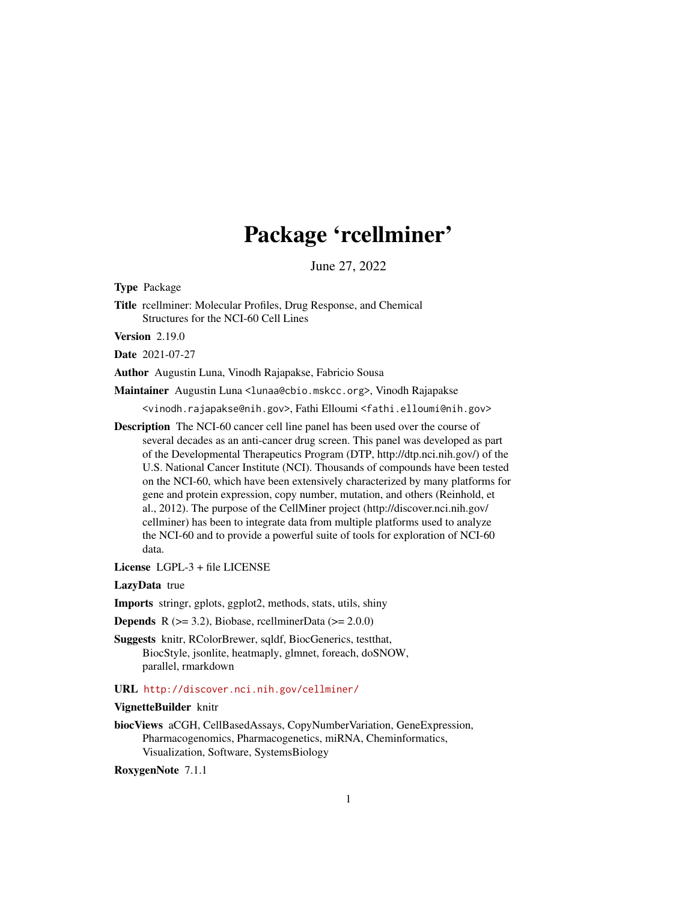# Package 'rcellminer'

June 27, 2022

Type Package

Title rcellminer: Molecular Profiles, Drug Response, and Chemical Structures for the NCI-60 Cell Lines

Version 2.19.0

Date 2021-07-27

Author Augustin Luna, Vinodh Rajapakse, Fabricio Sousa

Maintainer Augustin Luna <lunaa@cbio.mskcc.org>, Vinodh Rajapakse

<vinodh.rajapakse@nih.gov>, Fathi Elloumi <fathi.elloumi@nih.gov>

Description The NCI-60 cancer cell line panel has been used over the course of several decades as an anti-cancer drug screen. This panel was developed as part of the Developmental Therapeutics Program (DTP, http://dtp.nci.nih.gov/) of the U.S. National Cancer Institute (NCI). Thousands of compounds have been tested on the NCI-60, which have been extensively characterized by many platforms for gene and protein expression, copy number, mutation, and others (Reinhold, et al., 2012). The purpose of the CellMiner project (http://discover.nci.nih.gov/ cellminer) has been to integrate data from multiple platforms used to analyze the NCI-60 and to provide a powerful suite of tools for exploration of NCI-60 data.

License LGPL-3 + file LICENSE

LazyData true

Imports stringr, gplots, ggplot2, methods, stats, utils, shiny

**Depends** R  $(>= 3.2)$ , Biobase, rcellminerData  $(>= 2.0.0)$ 

Suggests knitr, RColorBrewer, sqldf, BiocGenerics, testthat, BiocStyle, jsonlite, heatmaply, glmnet, foreach, doSNOW, parallel, rmarkdown

URL <http://discover.nci.nih.gov/cellminer/>

#### VignetteBuilder knitr

biocViews aCGH, CellBasedAssays, CopyNumberVariation, GeneExpression, Pharmacogenomics, Pharmacogenetics, miRNA, Cheminformatics, Visualization, Software, SystemsBiology

RoxygenNote 7.1.1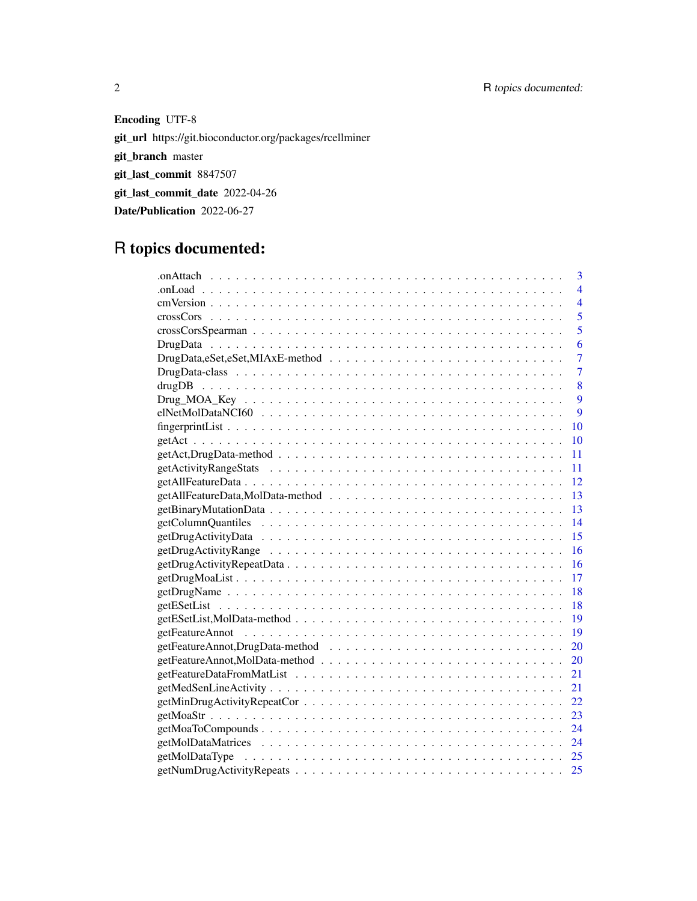Encoding UTF-8 git\_url https://git.bioconductor.org/packages/rcellminer git\_branch master git\_last\_commit 8847507 git\_last\_commit\_date 2022-04-26 Date/Publication 2022-06-27

# R topics documented:

| 3                                                                                                                   |
|---------------------------------------------------------------------------------------------------------------------|
| $\overline{4}$                                                                                                      |
| $\overline{4}$                                                                                                      |
| 5                                                                                                                   |
| 5                                                                                                                   |
| 6                                                                                                                   |
| $\overline{7}$                                                                                                      |
| $\overline{7}$                                                                                                      |
| 8                                                                                                                   |
| 9                                                                                                                   |
| 9                                                                                                                   |
| 10                                                                                                                  |
| 10                                                                                                                  |
| 11                                                                                                                  |
| 11                                                                                                                  |
|                                                                                                                     |
|                                                                                                                     |
|                                                                                                                     |
|                                                                                                                     |
| 15                                                                                                                  |
| 16                                                                                                                  |
| 16                                                                                                                  |
| 17                                                                                                                  |
| $getDrugName \dots \dots \dots \dots \dots \dots \dots \dots \dots \dots \dots \dots \dots \dots \dots \dots$<br>18 |
| 18                                                                                                                  |
|                                                                                                                     |
|                                                                                                                     |
| 20                                                                                                                  |
| 20                                                                                                                  |
| 21                                                                                                                  |
| 21                                                                                                                  |
| 22                                                                                                                  |
| 23                                                                                                                  |
| 24                                                                                                                  |
| 24                                                                                                                  |
|                                                                                                                     |
| 25                                                                                                                  |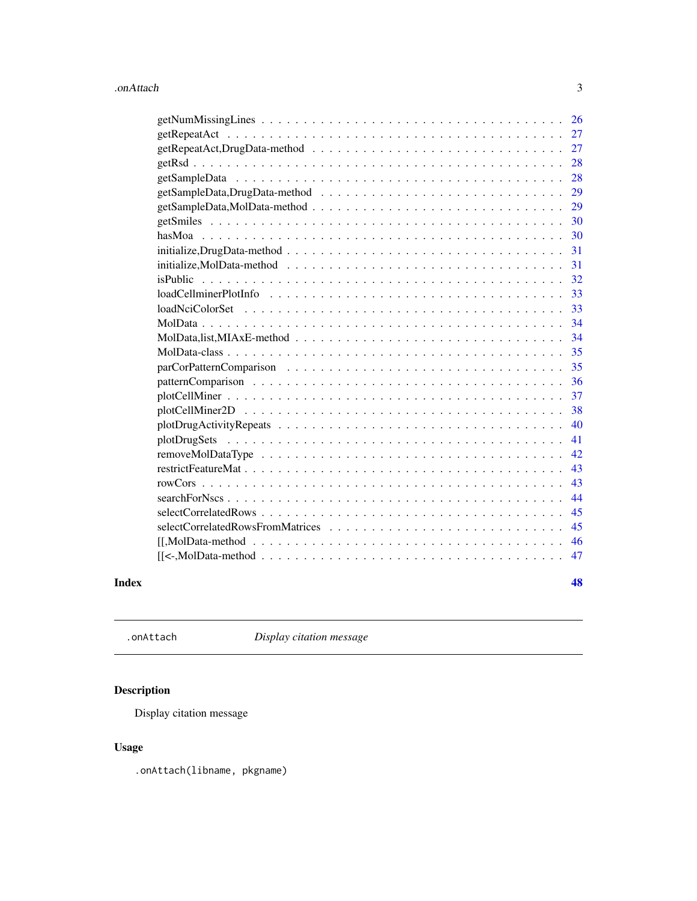<span id="page-2-0"></span>

| 26                                                                                                                                                                                                                                                                                                                                                                                                                                                                                                                                                                                             |
|------------------------------------------------------------------------------------------------------------------------------------------------------------------------------------------------------------------------------------------------------------------------------------------------------------------------------------------------------------------------------------------------------------------------------------------------------------------------------------------------------------------------------------------------------------------------------------------------|
| 27                                                                                                                                                                                                                                                                                                                                                                                                                                                                                                                                                                                             |
| 27                                                                                                                                                                                                                                                                                                                                                                                                                                                                                                                                                                                             |
| 28                                                                                                                                                                                                                                                                                                                                                                                                                                                                                                                                                                                             |
| 28                                                                                                                                                                                                                                                                                                                                                                                                                                                                                                                                                                                             |
| 29                                                                                                                                                                                                                                                                                                                                                                                                                                                                                                                                                                                             |
| 29                                                                                                                                                                                                                                                                                                                                                                                                                                                                                                                                                                                             |
| 30                                                                                                                                                                                                                                                                                                                                                                                                                                                                                                                                                                                             |
| 30                                                                                                                                                                                                                                                                                                                                                                                                                                                                                                                                                                                             |
| $initialize, DrugData-method \dots \dots \dots \dots \dots \dots \dots \dots \dots \dots \dots \dots \dots \dots$<br>31                                                                                                                                                                                                                                                                                                                                                                                                                                                                        |
| $initialize, MolData-method \dots \dots \dots \dots \dots \dots \dots \dots \dots \dots \dots \dots \dots \dots$<br>31                                                                                                                                                                                                                                                                                                                                                                                                                                                                         |
| 32                                                                                                                                                                                                                                                                                                                                                                                                                                                                                                                                                                                             |
| 33                                                                                                                                                                                                                                                                                                                                                                                                                                                                                                                                                                                             |
| 33                                                                                                                                                                                                                                                                                                                                                                                                                                                                                                                                                                                             |
| 34                                                                                                                                                                                                                                                                                                                                                                                                                                                                                                                                                                                             |
| 34                                                                                                                                                                                                                                                                                                                                                                                                                                                                                                                                                                                             |
| 35                                                                                                                                                                                                                                                                                                                                                                                                                                                                                                                                                                                             |
| 35                                                                                                                                                                                                                                                                                                                                                                                                                                                                                                                                                                                             |
| 36                                                                                                                                                                                                                                                                                                                                                                                                                                                                                                                                                                                             |
| 37                                                                                                                                                                                                                                                                                                                                                                                                                                                                                                                                                                                             |
| 38                                                                                                                                                                                                                                                                                                                                                                                                                                                                                                                                                                                             |
| 40                                                                                                                                                                                                                                                                                                                                                                                                                                                                                                                                                                                             |
| 41                                                                                                                                                                                                                                                                                                                                                                                                                                                                                                                                                                                             |
| 42                                                                                                                                                                                                                                                                                                                                                                                                                                                                                                                                                                                             |
| 43                                                                                                                                                                                                                                                                                                                                                                                                                                                                                                                                                                                             |
| 43                                                                                                                                                                                                                                                                                                                                                                                                                                                                                                                                                                                             |
| 44                                                                                                                                                                                                                                                                                                                                                                                                                                                                                                                                                                                             |
| 45                                                                                                                                                                                                                                                                                                                                                                                                                                                                                                                                                                                             |
| 45                                                                                                                                                                                                                                                                                                                                                                                                                                                                                                                                                                                             |
| 46<br>$[[, MolData-method \dots \dots \dots \dots \dots \dots \dots \dots \dots \dots \dots \dots \dots \dots \dots \dots \dots ]$                                                                                                                                                                                                                                                                                                                                                                                                                                                             |
| $\begin{bmatrix} {\mathsf K} \prec {\mathsf M} \circ {\mathsf M} \circ {\mathsf M} \circ {\mathsf M} \circ {\mathsf M} \circ {\mathsf M} \circ {\mathsf M} \circ {\mathsf M} \circ {\mathsf M} \circ {\mathsf M} \circ {\mathsf M} \circ {\mathsf M} \circ {\mathsf M} \circ {\mathsf M} \circ {\mathsf M} \circ {\mathsf M} \circ {\mathsf M} \circ {\mathsf M} \circ {\mathsf M} \circ {\mathsf M} \circ {\mathsf M} \circ {\mathsf M} \circ {\mathsf M} \circ {\mathsf M} \circ {\mathsf M} \circ {\mathsf M} \circ {\mathsf M} \circ {\mathsf M} \circ {\mathsf M} \circ {\mathsf M$<br>47 |
|                                                                                                                                                                                                                                                                                                                                                                                                                                                                                                                                                                                                |

#### **Index** [48](#page-47-0) **All 2018 Example 2018 Example 2018 Example 2018 Example 2018 All 2018**

.onAttach *Display citation message*

# Description

Display citation message

# Usage

.onAttach(libname, pkgname)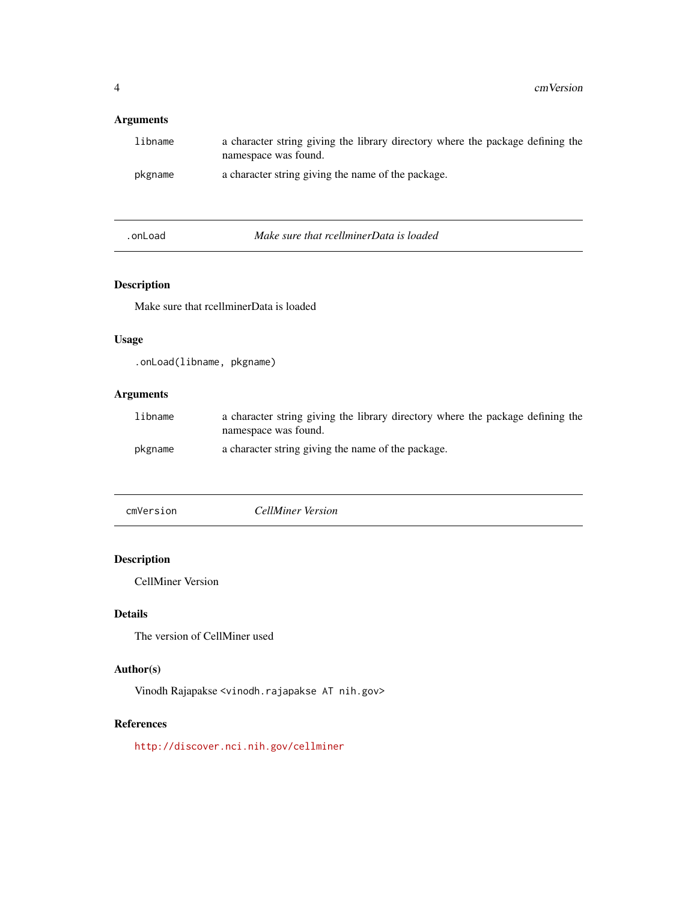# <span id="page-3-0"></span>Arguments

| libname | a character string giving the library directory where the package defining the<br>namespace was found. |
|---------|--------------------------------------------------------------------------------------------------------|
| pkgname | a character string giving the name of the package.                                                     |

.onLoad *Make sure that rcellminerData is loaded*

# Description

Make sure that rcellminerData is loaded

# Usage

.onLoad(libname, pkgname)

# Arguments

| libname | a character string giving the library directory where the package defining the<br>namespace was found. |
|---------|--------------------------------------------------------------------------------------------------------|
| pkgname | a character string giving the name of the package.                                                     |

cmVersion *CellMiner Version*

# Description

CellMiner Version

# Details

The version of CellMiner used

# Author(s)

Vinodh Rajapakse <vinodh.rajapakse AT nih.gov>

# References

<http://discover.nci.nih.gov/cellminer>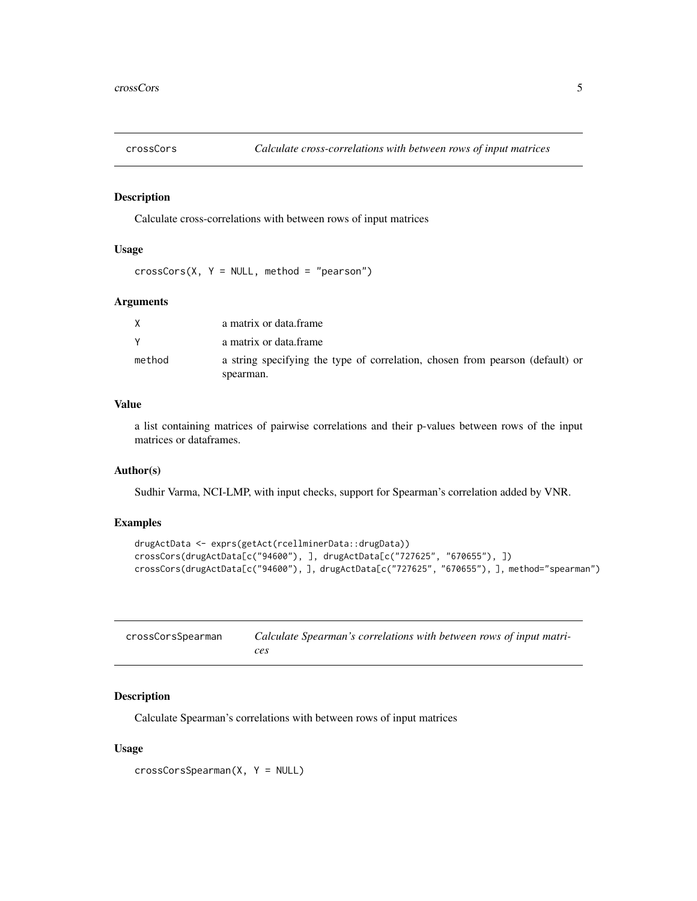<span id="page-4-0"></span>

# Description

Calculate cross-correlations with between rows of input matrices

# Usage

 $crossCors(X, Y = NULL, method = "pearson")$ 

#### Arguments

|        | a matrix or data frame                                                        |
|--------|-------------------------------------------------------------------------------|
|        | a matrix or data frame                                                        |
| method | a string specifying the type of correlation, chosen from pearson (default) or |
|        | spearman.                                                                     |

#### Value

a list containing matrices of pairwise correlations and their p-values between rows of the input matrices or dataframes.

#### Author(s)

Sudhir Varma, NCI-LMP, with input checks, support for Spearman's correlation added by VNR.

#### Examples

```
drugActData <- exprs(getAct(rcellminerData::drugData))
crossCors(drugActData[c("94600"), ], drugActData[c("727625", "670655"), ])
crossCors(drugActData[c("94600"), ], drugActData[c("727625", "670655"), ], method="spearman")
```

| crossCorsSpearman | Calculate Spearman's correlations with between rows of input matri- |
|-------------------|---------------------------------------------------------------------|
|                   | ces                                                                 |

#### Description

Calculate Spearman's correlations with between rows of input matrices

#### Usage

crossCorsSpearman(X, Y = NULL)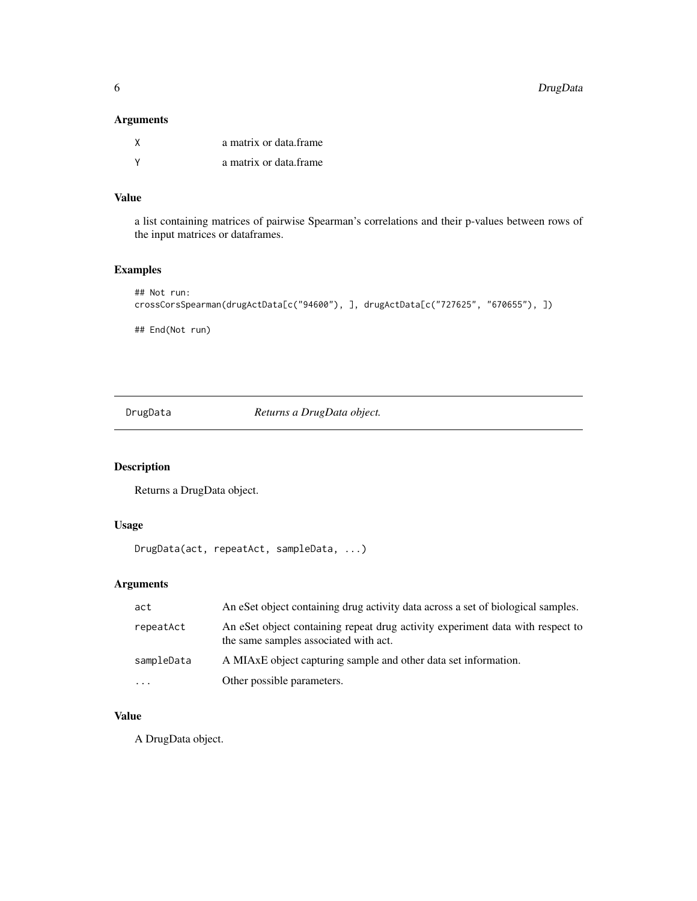#### <span id="page-5-0"></span>Arguments

| X | a matrix or data frame |
|---|------------------------|
|   | a matrix or data frame |

# Value

a list containing matrices of pairwise Spearman's correlations and their p-values between rows of the input matrices or dataframes.

# Examples

```
## Not run:
crossCorsSpearman(drugActData[c("94600"), ], drugActData[c("727625", "670655"), ])
## End(Not run)
```
DrugData *Returns a DrugData object.*

# Description

Returns a DrugData object.

# Usage

```
DrugData(act, repeatAct, sampleData, ...)
```
# Arguments

| act        | An eSet object containing drug activity data across a set of biological samples.                                        |
|------------|-------------------------------------------------------------------------------------------------------------------------|
| repeatAct  | An eSet object containing repeat drug activity experiment data with respect to<br>the same samples associated with act. |
| sampleData | A MIAxE object capturing sample and other data set information.                                                         |
| $\ddotsc$  | Other possible parameters.                                                                                              |

# Value

A DrugData object.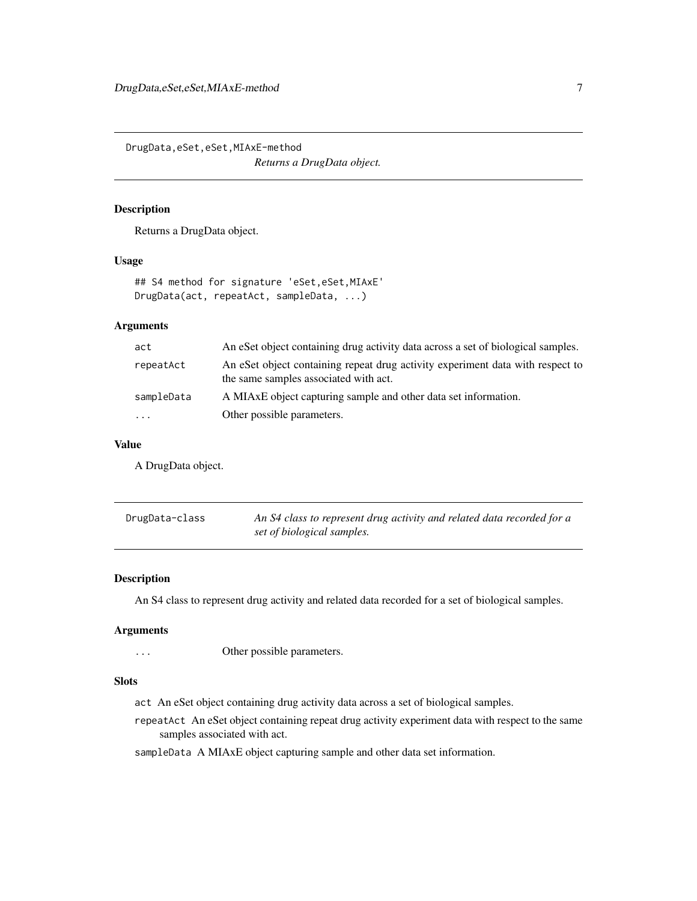<span id="page-6-0"></span>DrugData,eSet,eSet,MIAxE-method *Returns a DrugData object.*

# Description

Returns a DrugData object.

#### Usage

```
## S4 method for signature 'eSet, eSet, MIAxE'
DrugData(act, repeatAct, sampleData, ...)
```
# Arguments

| act        | An eSet object containing drug activity data across a set of biological samples.                                        |
|------------|-------------------------------------------------------------------------------------------------------------------------|
| repeatAct  | An eSet object containing repeat drug activity experiment data with respect to<br>the same samples associated with act. |
| sampleData | A MIAxE object capturing sample and other data set information.                                                         |
| $\cdots$   | Other possible parameters.                                                                                              |

#### Value

A DrugData object.

| DrugData-class | An S4 class to represent drug activity and related data recorded for a |
|----------------|------------------------------------------------------------------------|
|                | set of biological samples.                                             |

#### Description

An S4 class to represent drug activity and related data recorded for a set of biological samples.

#### Arguments

... Other possible parameters.

#### Slots

act An eSet object containing drug activity data across a set of biological samples.

repeatAct An eSet object containing repeat drug activity experiment data with respect to the same samples associated with act.

sampleData A MIAxE object capturing sample and other data set information.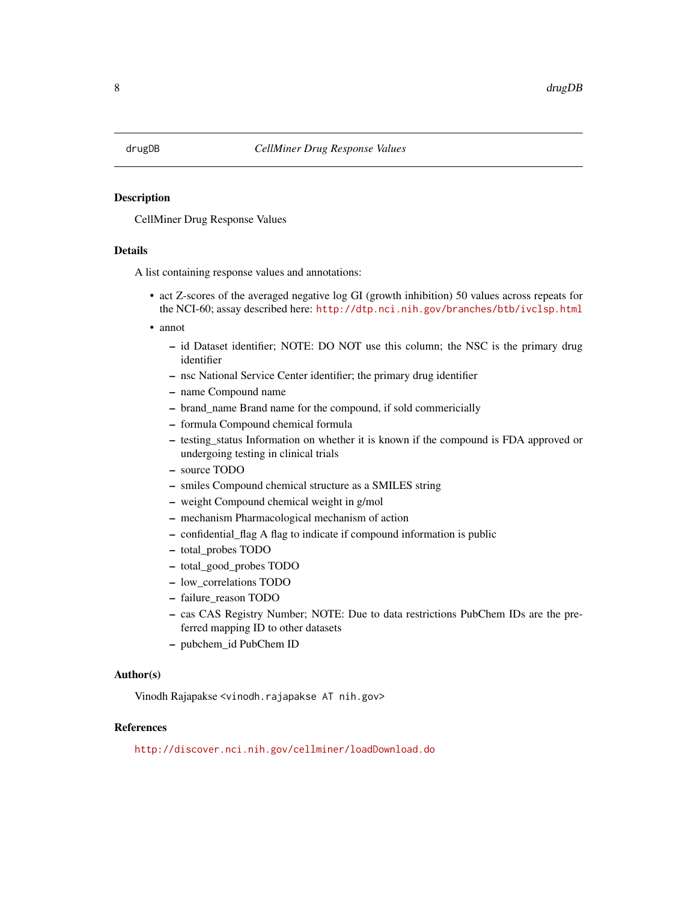#### <span id="page-7-0"></span>**Description**

CellMiner Drug Response Values

#### Details

A list containing response values and annotations:

- act Z-scores of the averaged negative log GI (growth inhibition) 50 values across repeats for the NCI-60; assay described here: <http://dtp.nci.nih.gov/branches/btb/ivclsp.html>
- annot
	- id Dataset identifier; NOTE: DO NOT use this column; the NSC is the primary drug identifier
	- nsc National Service Center identifier; the primary drug identifier
	- name Compound name
	- brand\_name Brand name for the compound, if sold commericially
	- formula Compound chemical formula
	- testing\_status Information on whether it is known if the compound is FDA approved or undergoing testing in clinical trials
	- source TODO
	- smiles Compound chemical structure as a SMILES string
	- weight Compound chemical weight in g/mol
	- mechanism Pharmacological mechanism of action
	- confidential\_flag A flag to indicate if compound information is public
	- total\_probes TODO
	- total\_good\_probes TODO
	- low\_correlations TODO
	- failure\_reason TODO
	- cas CAS Registry Number; NOTE: Due to data restrictions PubChem IDs are the preferred mapping ID to other datasets
	- pubchem\_id PubChem ID

#### Author(s)

Vinodh Rajapakse <vinodh.rajapakse AT nih.gov>

#### References

<http://discover.nci.nih.gov/cellminer/loadDownload.do>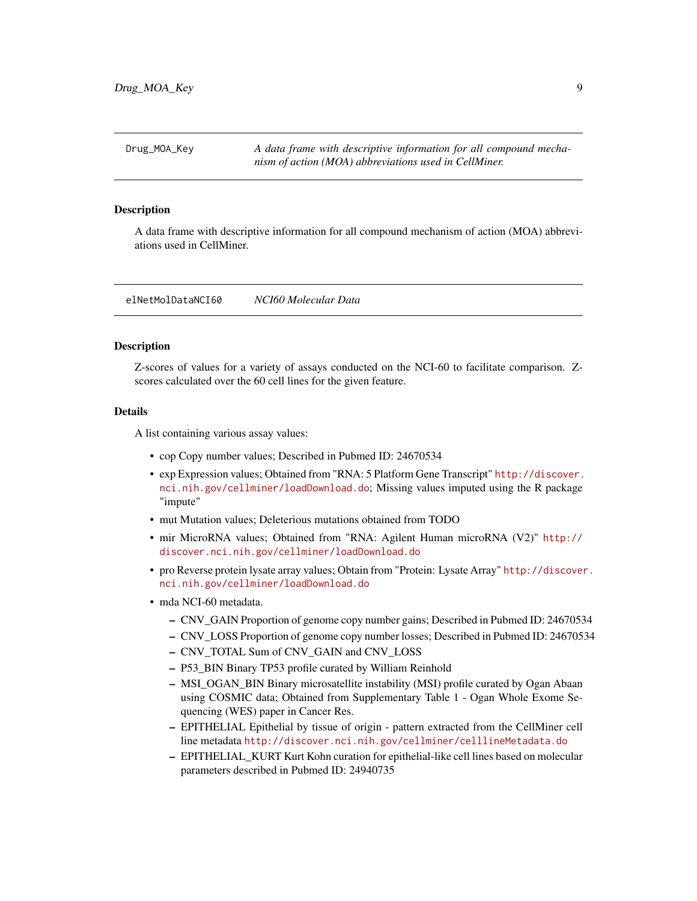<span id="page-8-0"></span>Drug\_MOA\_Key *A data frame with descriptive information for all compound mechanism of action (MOA) abbreviations used in CellMiner.*

#### Description

A data frame with descriptive information for all compound mechanism of action (MOA) abbreviations used in CellMiner.

elNetMolDataNCI60 *NCI60 Molecular Data*

#### **Description**

Z-scores of values for a variety of assays conducted on the NCI-60 to facilitate comparison. Zscores calculated over the 60 cell lines for the given feature.

# Details

A list containing various assay values:

- cop Copy number values; Described in Pubmed ID: 24670534
- exp Expression values; Obtained from "RNA: 5 Platform Gene Transcript" [http://discover.](http://discover.nci.nih.gov/cellminer/loadDownload.do) [nci.nih.gov/cellminer/loadDownload.do](http://discover.nci.nih.gov/cellminer/loadDownload.do); Missing values imputed using the R package "impute"
- mut Mutation values; Deleterious mutations obtained from TODO
- mir MicroRNA values; Obtained from "RNA: Agilent Human microRNA (V2)" [http://](http://discover.nci.nih.gov/cellminer/loadDownload.do) [discover.nci.nih.gov/cellminer/loadDownload.do](http://discover.nci.nih.gov/cellminer/loadDownload.do)
- pro Reverse protein lysate array values; Obtain from "Protein: Lysate Array" [http://discover](http://discover.nci.nih.gov/cellminer/loadDownload.do). [nci.nih.gov/cellminer/loadDownload.do](http://discover.nci.nih.gov/cellminer/loadDownload.do)
- mda NCI-60 metadata.
	- CNV\_GAIN Proportion of genome copy number gains; Described in Pubmed ID: 24670534
	- CNV\_LOSS Proportion of genome copy number losses; Described in Pubmed ID: 24670534
	- CNV\_TOTAL Sum of CNV\_GAIN and CNV\_LOSS
	- P53\_BIN Binary TP53 profile curated by William Reinhold
	- MSI\_OGAN\_BIN Binary microsatellite instability (MSI) profile curated by Ogan Abaan using COSMIC data; Obtained from Supplementary Table 1 - Ogan Whole Exome Sequencing (WES) paper in Cancer Res.
	- EPITHELIAL Epithelial by tissue of origin pattern extracted from the CellMiner cell line metadata <http://discover.nci.nih.gov/cellminer/celllineMetadata.do>
	- EPITHELIAL\_KURT Kurt Kohn curation for epithelial-like cell lines based on molecular parameters described in Pubmed ID: 24940735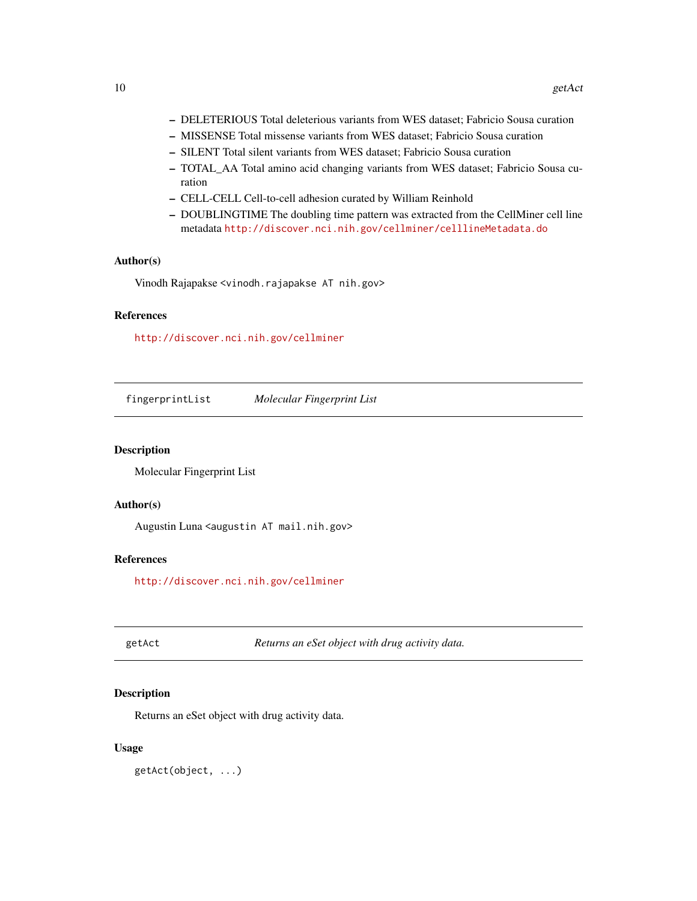- <span id="page-9-0"></span>– DELETERIOUS Total deleterious variants from WES dataset; Fabricio Sousa curation
- MISSENSE Total missense variants from WES dataset; Fabricio Sousa curation
- SILENT Total silent variants from WES dataset; Fabricio Sousa curation
- TOTAL\_AA Total amino acid changing variants from WES dataset; Fabricio Sousa curation
- CELL-CELL Cell-to-cell adhesion curated by William Reinhold
- DOUBLINGTIME The doubling time pattern was extracted from the CellMiner cell line metadata <http://discover.nci.nih.gov/cellminer/celllineMetadata.do>

#### Author(s)

Vinodh Rajapakse <vinodh.rajapakse AT nih.gov>

#### References

<http://discover.nci.nih.gov/cellminer>

fingerprintList *Molecular Fingerprint List*

## Description

Molecular Fingerprint List

#### Author(s)

Augustin Luna <augustin AT mail.nih.gov>

#### References

<http://discover.nci.nih.gov/cellminer>

getAct *Returns an eSet object with drug activity data.*

#### Description

Returns an eSet object with drug activity data.

#### Usage

getAct(object, ...)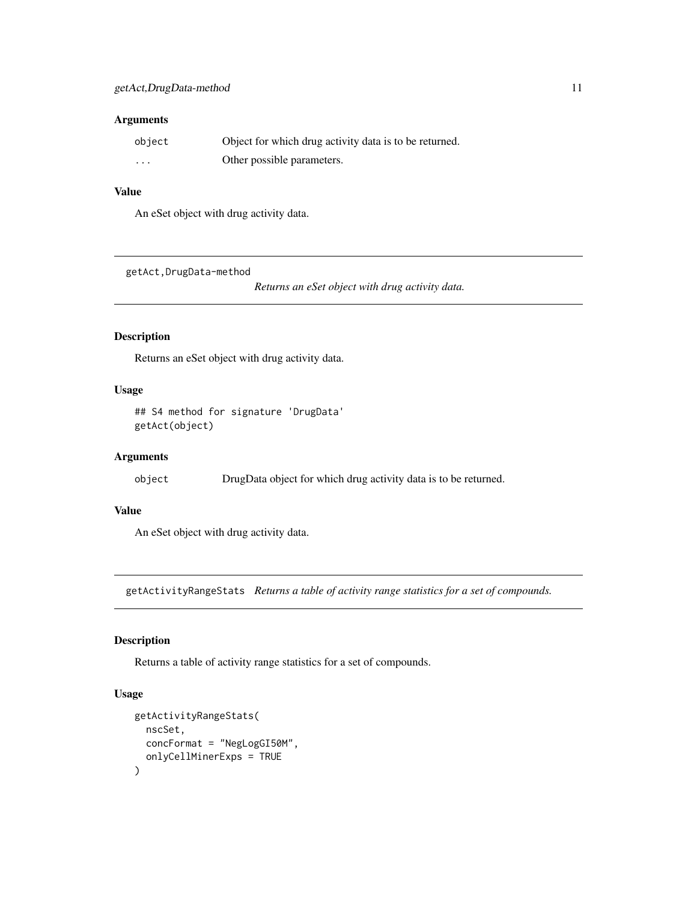#### <span id="page-10-0"></span>Arguments

| object   | Object for which drug activity data is to be returned. |
|----------|--------------------------------------------------------|
| $\cdots$ | Other possible parameters.                             |

#### Value

An eSet object with drug activity data.

getAct,DrugData-method

*Returns an eSet object with drug activity data.*

# Description

Returns an eSet object with drug activity data.

# Usage

## S4 method for signature 'DrugData' getAct(object)

# Arguments

object DrugData object for which drug activity data is to be returned.

# Value

An eSet object with drug activity data.

getActivityRangeStats *Returns a table of activity range statistics for a set of compounds.*

#### Description

Returns a table of activity range statistics for a set of compounds.

# Usage

```
getActivityRangeStats(
  nscSet,
  concFormat = "NegLogGI50M",
  onlyCellMinerExps = TRUE
\mathcal{E}
```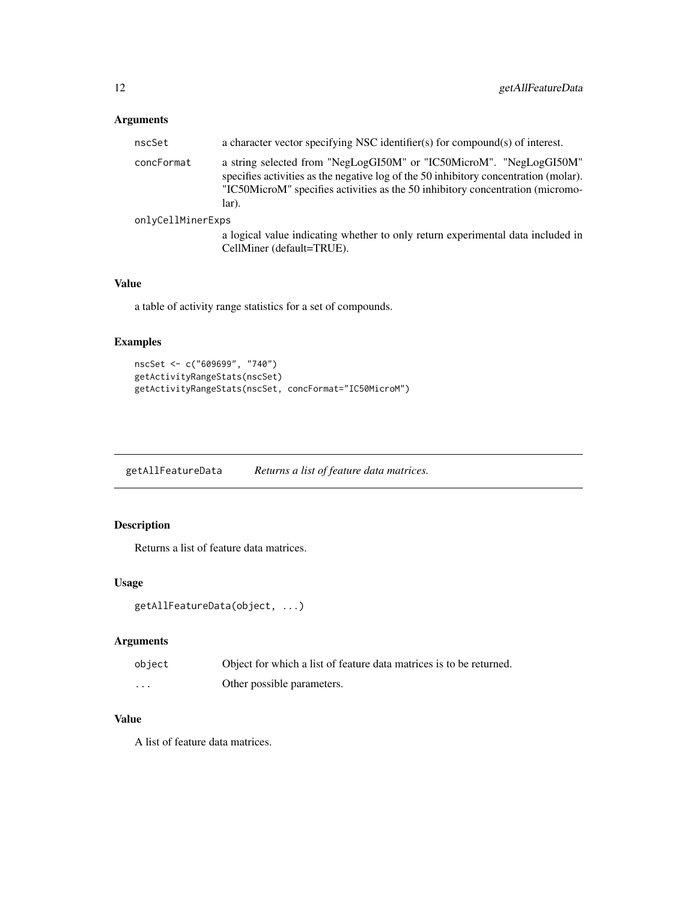# <span id="page-11-0"></span>Arguments

| nscSet            | a character vector specifying NSC identifier(s) for compound(s) of interest.                                                                                                                                                                           |
|-------------------|--------------------------------------------------------------------------------------------------------------------------------------------------------------------------------------------------------------------------------------------------------|
| concFormat        | a string selected from "NegLogGI50M" or "IC50MicroM". "NegLogGI50M"<br>specifies activities as the negative log of the 50 inhibitory concentration (molar).<br>"IC50MicroM" specifies activities as the 50 inhibitory concentration (micromo-<br>lar). |
| onlyCellMinerExps |                                                                                                                                                                                                                                                        |
|                   | a logical value indicating whether to only return experimental data included in<br>CellMiner (default=TRUE).                                                                                                                                           |

# Value

a table of activity range statistics for a set of compounds.

# Examples

```
nscSet <- c("609699", "740")
getActivityRangeStats(nscSet)
getActivityRangeStats(nscSet, concFormat="IC50MicroM")
```
getAllFeatureData *Returns a list of feature data matrices.*

# Description

Returns a list of feature data matrices.

#### Usage

```
getAllFeatureData(object, ...)
```
#### Arguments

| object | Object for which a list of feature data matrices is to be returned. |
|--------|---------------------------------------------------------------------|
| .      | Other possible parameters.                                          |

# Value

A list of feature data matrices.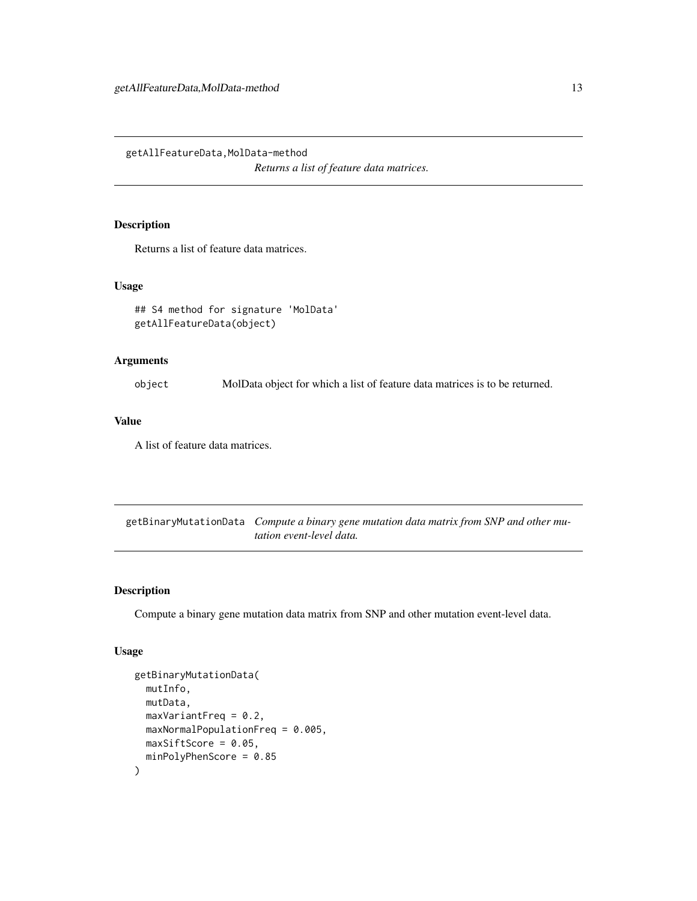<span id="page-12-0"></span>getAllFeatureData,MolData-method *Returns a list of feature data matrices.*

# Description

Returns a list of feature data matrices.

#### Usage

```
## S4 method for signature 'MolData'
getAllFeatureData(object)
```
#### Arguments

object MolData object for which a list of feature data matrices is to be returned.

#### Value

A list of feature data matrices.

getBinaryMutationData *Compute a binary gene mutation data matrix from SNP and other mutation event-level data.*

#### Description

Compute a binary gene mutation data matrix from SNP and other mutation event-level data.

# Usage

```
getBinaryMutationData(
 mutInfo,
 mutData,
 maxVariantFreq = 0.2,maxNormalPopulationFreq = 0.005,
 maxSiftScore = 0.05,minPolyPhenScore = 0.85
)
```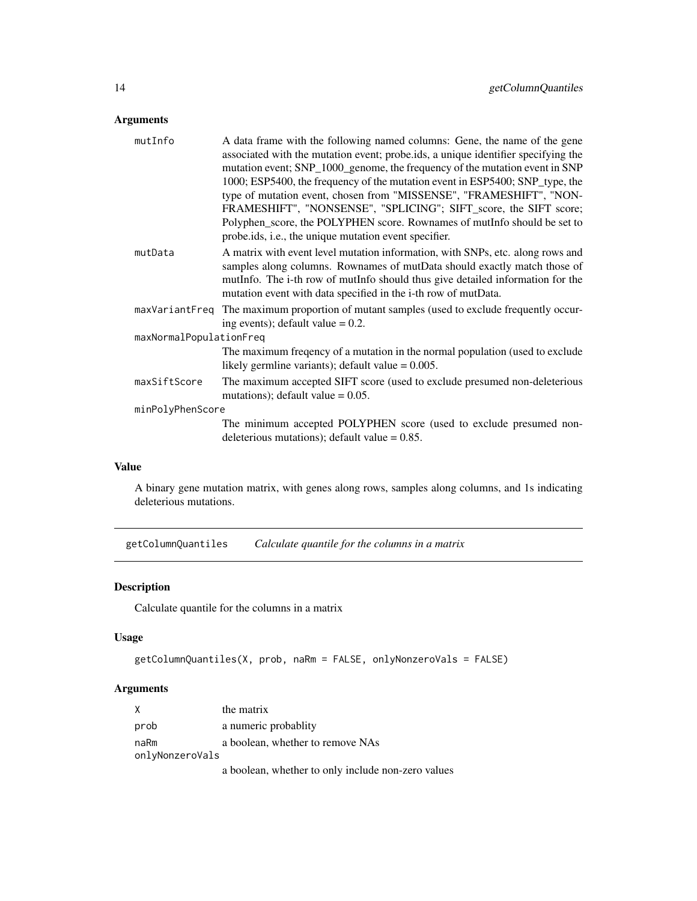# <span id="page-13-0"></span>Arguments

| mutInfo                 | A data frame with the following named columns: Gene, the name of the gene<br>associated with the mutation event; probe.ids, a unique identifier specifying the<br>mutation event; SNP_1000_genome, the frequency of the mutation event in SNP<br>1000; ESP5400, the frequency of the mutation event in ESP5400; SNP_type, the<br>type of mutation event, chosen from "MISSENSE", "FRAMESHIFT", "NON-<br>FRAMESHIFT", "NONSENSE", "SPLICING"; SIFT_score, the SIFT score;<br>Polyphen_score, the POLYPHEN score. Rownames of mutInfo should be set to |  |
|-------------------------|------------------------------------------------------------------------------------------------------------------------------------------------------------------------------------------------------------------------------------------------------------------------------------------------------------------------------------------------------------------------------------------------------------------------------------------------------------------------------------------------------------------------------------------------------|--|
|                         | probe.ids, i.e., the unique mutation event specifier.                                                                                                                                                                                                                                                                                                                                                                                                                                                                                                |  |
| mutData                 | A matrix with event level mutation information, with SNPs, etc. along rows and<br>samples along columns. Rownames of mutData should exactly match those of<br>mutInfo. The i-th row of mutInfo should thus give detailed information for the<br>mutation event with data specified in the i-th row of mutData.                                                                                                                                                                                                                                       |  |
| maxVariantFreq          | The maximum proportion of mutant samples (used to exclude frequently occur-<br>ing events); default value $= 0.2$ .                                                                                                                                                                                                                                                                                                                                                                                                                                  |  |
| maxNormalPopulationFreq |                                                                                                                                                                                                                                                                                                                                                                                                                                                                                                                                                      |  |
|                         | The maximum freqency of a mutation in the normal population (used to exclude<br>likely germline variants); default value $= 0.005$ .                                                                                                                                                                                                                                                                                                                                                                                                                 |  |
| maxSiftScore            | The maximum accepted SIFT score (used to exclude presumed non-deleterious<br>mutations); default value $= 0.05$ .                                                                                                                                                                                                                                                                                                                                                                                                                                    |  |
| minPolyPhenScore        |                                                                                                                                                                                                                                                                                                                                                                                                                                                                                                                                                      |  |
|                         | The minimum accepted POLYPHEN score (used to exclude presumed non-<br>deleterious mutations); default value $= 0.85$ .                                                                                                                                                                                                                                                                                                                                                                                                                               |  |

# Value

A binary gene mutation matrix, with genes along rows, samples along columns, and 1s indicating deleterious mutations.

getColumnQuantiles *Calculate quantile for the columns in a matrix*

# Description

Calculate quantile for the columns in a matrix

# Usage

```
getColumnQuantiles(X, prob, naRm = FALSE, onlyNonzeroVals = FALSE)
```
# Arguments

| X               | the matrix                                         |  |
|-----------------|----------------------------------------------------|--|
| prob            | a numeric probablity                               |  |
| naRm            | a boolean, whether to remove NAs                   |  |
| onlyNonzeroVals |                                                    |  |
|                 | a boolean, whether to only include non-zero values |  |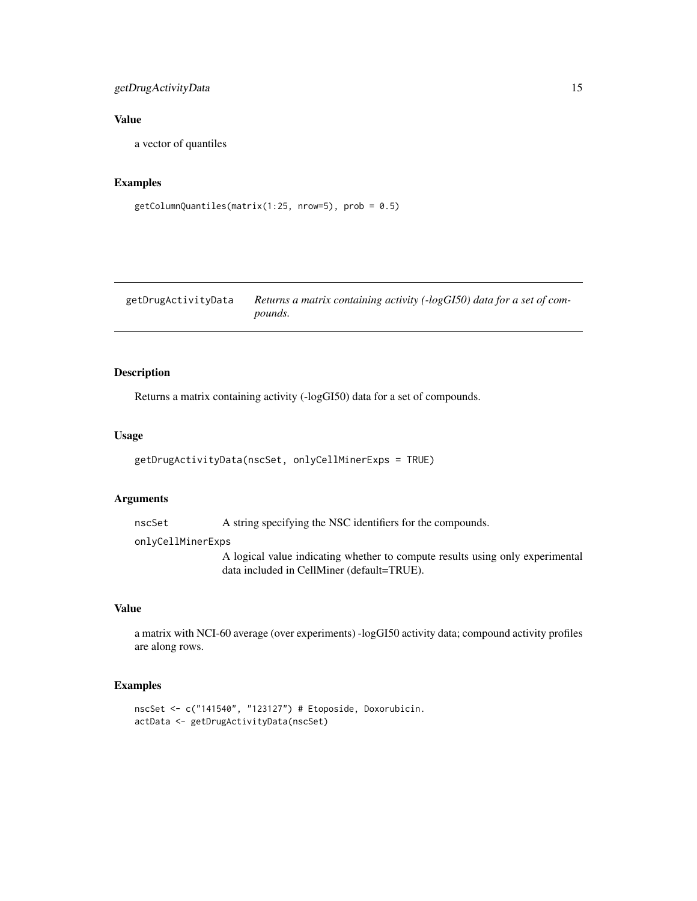# <span id="page-14-0"></span>getDrugActivityData 15

# Value

a vector of quantiles

# Examples

```
getColumnQuantiles(matrix(1:25, nrow=5), prob = 0.5)
```
getDrugActivityData *Returns a matrix containing activity (-logGI50) data for a set of compounds.*

## Description

Returns a matrix containing activity (-logGI50) data for a set of compounds.

#### Usage

```
getDrugActivityData(nscSet, onlyCellMinerExps = TRUE)
```
#### Arguments

nscSet A string specifying the NSC identifiers for the compounds.

#### onlyCellMinerExps

A logical value indicating whether to compute results using only experimental data included in CellMiner (default=TRUE).

# Value

a matrix with NCI-60 average (over experiments) -logGI50 activity data; compound activity profiles are along rows.

#### Examples

```
nscSet <- c("141540", "123127") # Etoposide, Doxorubicin.
actData <- getDrugActivityData(nscSet)
```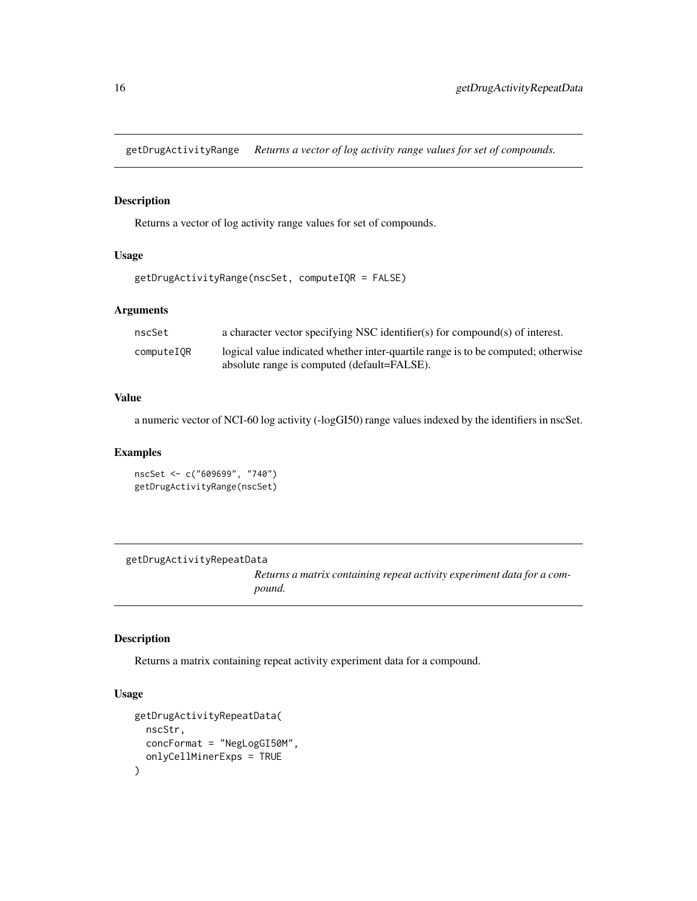<span id="page-15-0"></span>getDrugActivityRange *Returns a vector of log activity range values for set of compounds.*

# Description

Returns a vector of log activity range values for set of compounds.

#### Usage

```
getDrugActivityRange(nscSet, computeIQR = FALSE)
```
# Arguments

| nscSet     | a character vector specifying NSC identifier(s) for compound(s) of interest.                                                     |
|------------|----------------------------------------------------------------------------------------------------------------------------------|
| computeIOR | logical value indicated whether inter-quartile range is to be computed; otherwise<br>absolute range is computed (default=FALSE). |

# Value

a numeric vector of NCI-60 log activity (-logGI50) range values indexed by the identifiers in nscSet.

#### Examples

```
nscSet <- c("609699", "740")
getDrugActivityRange(nscSet)
```
getDrugActivityRepeatData

*Returns a matrix containing repeat activity experiment data for a compound.*

# Description

Returns a matrix containing repeat activity experiment data for a compound.

# Usage

```
getDrugActivityRepeatData(
  nscStr,
  concFormat = "NegLogGI50M",
  onlyCellMinerExps = TRUE
\mathcal{E}
```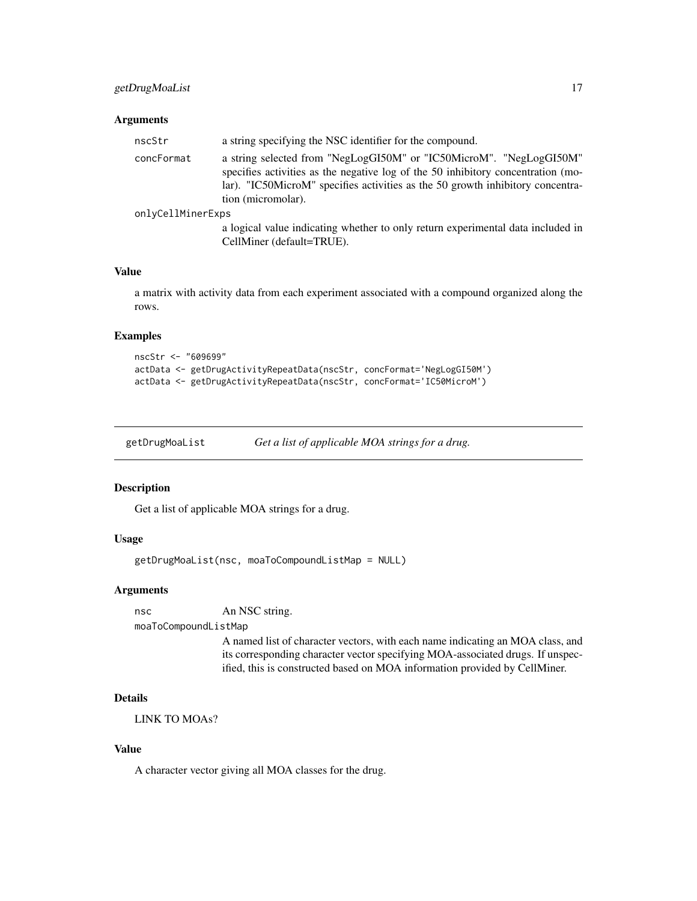# <span id="page-16-0"></span>getDrugMoaList 17

#### Arguments

| nscStr            | a string specifying the NSC identifier for the compound.                                                                                                                                                                                                        |
|-------------------|-----------------------------------------------------------------------------------------------------------------------------------------------------------------------------------------------------------------------------------------------------------------|
| concFormat        | a string selected from "NegLogGI50M" or "IC50MicroM". "NegLogGI50M"<br>specifies activities as the negative log of the 50 inhibitory concentration (mo-<br>lar). "IC50MicroM" specifies activities as the 50 growth inhibitory concentra-<br>tion (micromolar). |
| onlyCellMinerExps |                                                                                                                                                                                                                                                                 |
|                   |                                                                                                                                                                                                                                                                 |

a logical value indicating whether to only return experimental data included in CellMiner (default=TRUE).

#### Value

a matrix with activity data from each experiment associated with a compound organized along the rows.

#### Examples

```
nscStr <- "609699"
actData <- getDrugActivityRepeatData(nscStr, concFormat='NegLogGI50M')
actData <- getDrugActivityRepeatData(nscStr, concFormat='IC50MicroM')
```
getDrugMoaList *Get a list of applicable MOA strings for a drug.*

#### Description

Get a list of applicable MOA strings for a drug.

# Usage

```
getDrugMoaList(nsc, moaToCompoundListMap = NULL)
```
#### Arguments

```
nsc An NSC string.
moaToCompoundListMap
```
A named list of character vectors, with each name indicating an MOA class, and its corresponding character vector specifying MOA-associated drugs. If unspecified, this is constructed based on MOA information provided by CellMiner.

# Details

LINK TO MOAs?

# Value

A character vector giving all MOA classes for the drug.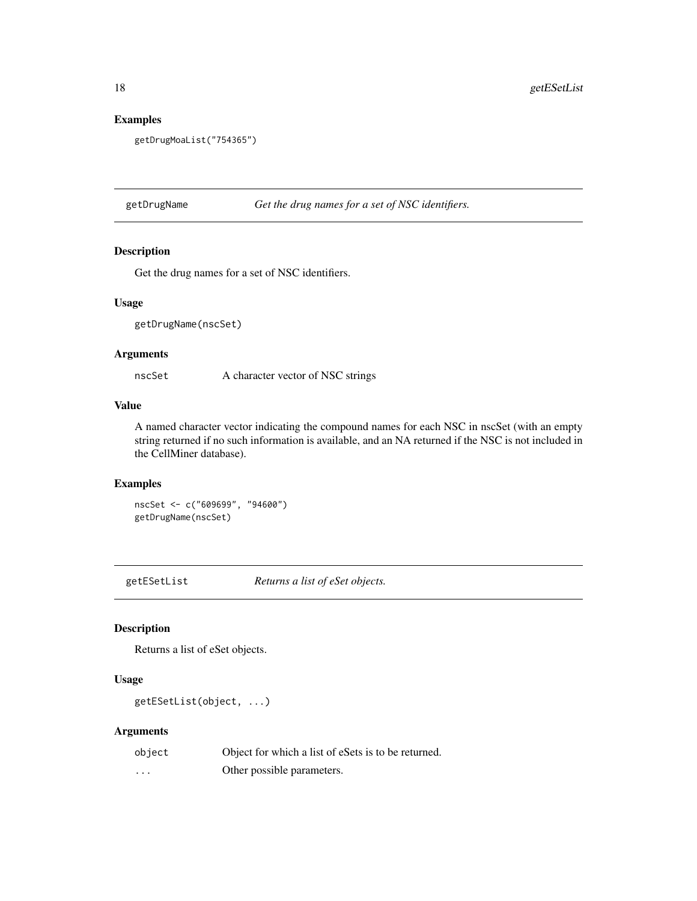# Examples

```
getDrugMoaList("754365")
```
getDrugName *Get the drug names for a set of NSC identifiers.*

#### Description

Get the drug names for a set of NSC identifiers.

#### Usage

getDrugName(nscSet)

#### Arguments

nscSet A character vector of NSC strings

#### Value

A named character vector indicating the compound names for each NSC in nscSet (with an empty string returned if no such information is available, and an NA returned if the NSC is not included in the CellMiner database).

# Examples

nscSet <- c("609699", "94600") getDrugName(nscSet)

getESetList *Returns a list of eSet objects.*

# Description

Returns a list of eSet objects.

#### Usage

```
getESetList(object, ...)
```
# Arguments

| object   | Object for which a list of esets is to be returned. |
|----------|-----------------------------------------------------|
| $\cdots$ | Other possible parameters.                          |

<span id="page-17-0"></span>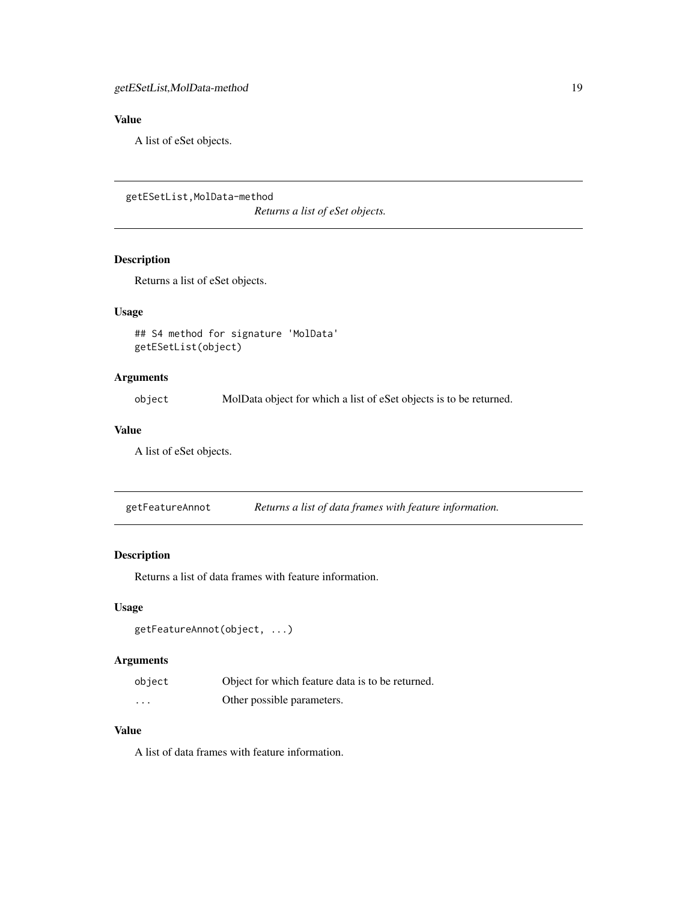# <span id="page-18-0"></span>Value

A list of eSet objects.

getESetList,MolData-method

*Returns a list of eSet objects.*

# Description

Returns a list of eSet objects.

# Usage

## S4 method for signature 'MolData' getESetList(object)

#### Arguments

object MolData object for which a list of eSet objects is to be returned.

#### Value

A list of eSet objects.

getFeatureAnnot *Returns a list of data frames with feature information.*

#### Description

Returns a list of data frames with feature information.

# Usage

```
getFeatureAnnot(object, ...)
```
# Arguments

| object | Object for which feature data is to be returned. |
|--------|--------------------------------------------------|
| .      | Other possible parameters.                       |

#### Value

A list of data frames with feature information.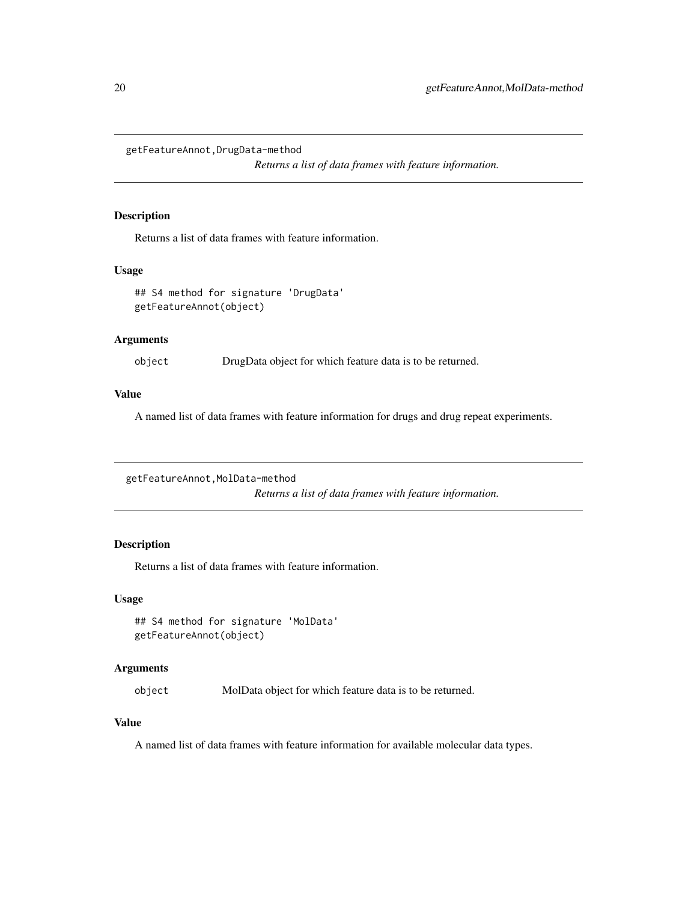<span id="page-19-0"></span>getFeatureAnnot,DrugData-method

*Returns a list of data frames with feature information.*

#### Description

Returns a list of data frames with feature information.

#### Usage

```
## S4 method for signature 'DrugData'
getFeatureAnnot(object)
```
# Arguments

object DrugData object for which feature data is to be returned.

#### Value

A named list of data frames with feature information for drugs and drug repeat experiments.

getFeatureAnnot,MolData-method

*Returns a list of data frames with feature information.*

# **Description**

Returns a list of data frames with feature information.

# Usage

```
## S4 method for signature 'MolData'
getFeatureAnnot(object)
```
#### Arguments

object MolData object for which feature data is to be returned.

#### Value

A named list of data frames with feature information for available molecular data types.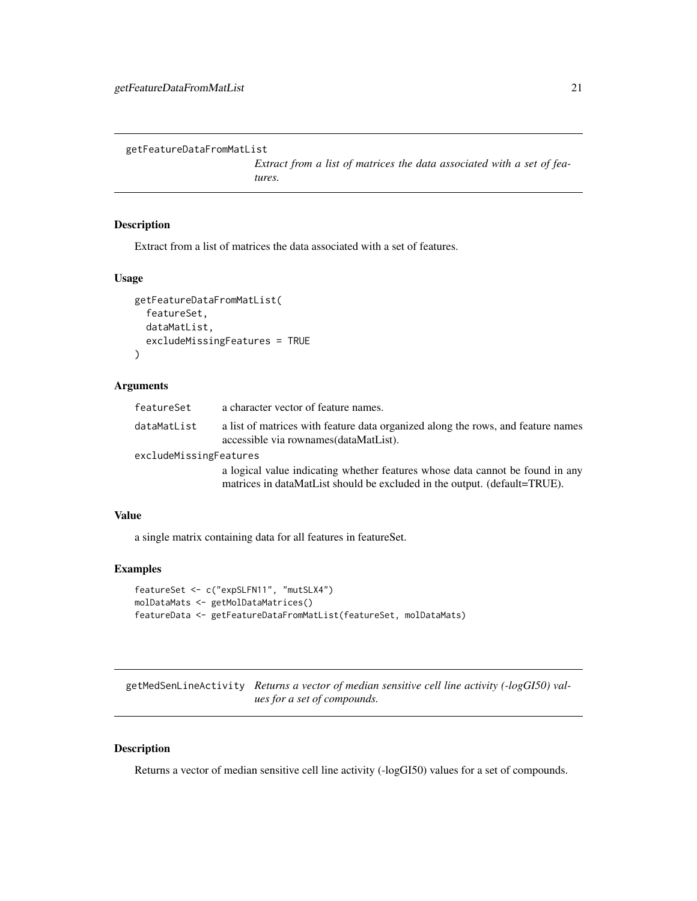```
getFeatureDataFromMatList
```
*Extract from a list of matrices the data associated with a set of features.*

## Description

Extract from a list of matrices the data associated with a set of features.

# Usage

```
getFeatureDataFromMatList(
  featureSet,
  dataMatList,
  excludeMissingFeatures = TRUE
)
```
#### Arguments

| featureSet             | a character vector of feature names.                                                                                       |
|------------------------|----------------------------------------------------------------------------------------------------------------------------|
| dataMatList            | a list of matrices with feature data organized along the rows, and feature names<br>accessible via rownames (dataMatList). |
| excludeMissingFeatures |                                                                                                                            |

a logical value indicating whether features whose data cannot be found in any matrices in dataMatList should be excluded in the output. (default=TRUE).

#### Value

a single matrix containing data for all features in featureSet.

#### Examples

```
featureSet <- c("expSLFN11", "mutSLX4")
molDataMats <- getMolDataMatrices()
featureData <- getFeatureDataFromMatList(featureSet, molDataMats)
```
getMedSenLineActivity *Returns a vector of median sensitive cell line activity (-logGI50) values for a set of compounds.*

# Description

Returns a vector of median sensitive cell line activity (-logGI50) values for a set of compounds.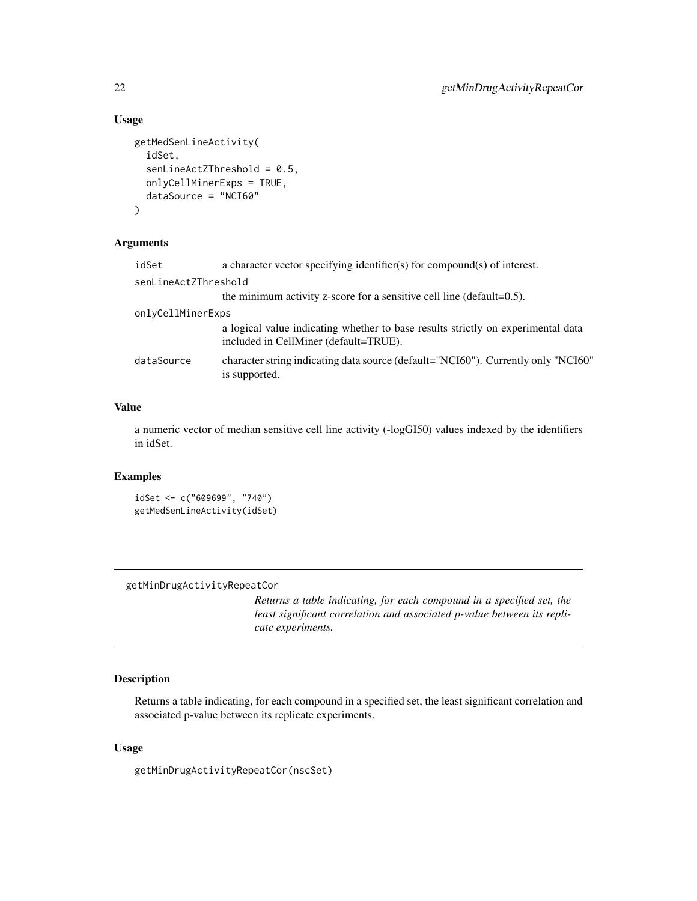# Usage

```
getMedSenLineActivity(
  idSet,
  senLineActZThreshold = 0.5,
  onlyCellMinerExps = TRUE,
  dataSource = "NCI60"
)
```
# Arguments

| idSet                | a character vector specifying identifier(s) for compound(s) of interest.                                                  |
|----------------------|---------------------------------------------------------------------------------------------------------------------------|
| senLineActZThreshold |                                                                                                                           |
|                      | the minimum activity z-score for a sensitive cell line (default= $0.5$ ).                                                 |
| onlyCellMinerExps    |                                                                                                                           |
|                      | a logical value indicating whether to base results strictly on experimental data<br>included in CellMiner (default=TRUE). |
| dataSource           | character string indicating data source (default="NCI60"). Currently only "NCI60"<br>is supported.                        |

# Value

a numeric vector of median sensitive cell line activity (-logGI50) values indexed by the identifiers in idSet.

#### Examples

```
idSet <- c("609699", "740")
getMedSenLineActivity(idSet)
```
getMinDrugActivityRepeatCor

*Returns a table indicating, for each compound in a specified set, the least significant correlation and associated p-value between its replicate experiments.*

# Description

Returns a table indicating, for each compound in a specified set, the least significant correlation and associated p-value between its replicate experiments.

#### Usage

getMinDrugActivityRepeatCor(nscSet)

<span id="page-21-0"></span>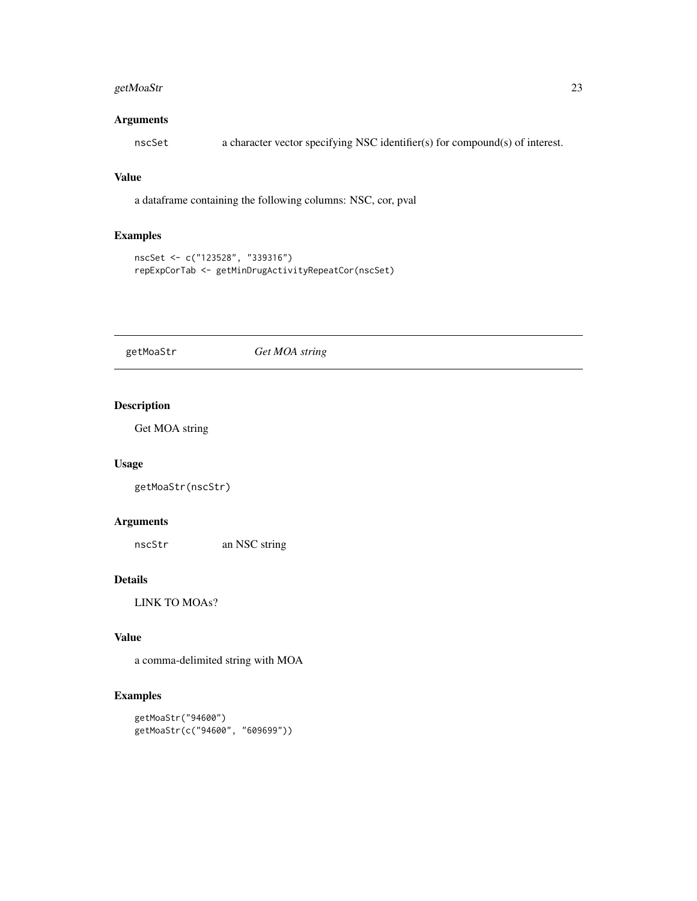# <span id="page-22-0"></span>getMoaStr 23

## Arguments

nscSet a character vector specifying NSC identifier(s) for compound(s) of interest.

#### Value

a dataframe containing the following columns: NSC, cor, pval

# Examples

```
nscSet <- c("123528", "339316")
repExpCorTab <- getMinDrugActivityRepeatCor(nscSet)
```
getMoaStr *Get MOA string*

# Description

Get MOA string

# Usage

getMoaStr(nscStr)

# Arguments

nscStr an NSC string

# Details

LINK TO MOAs?

# Value

a comma-delimited string with MOA

# Examples

```
getMoaStr("94600")
getMoaStr(c("94600", "609699"))
```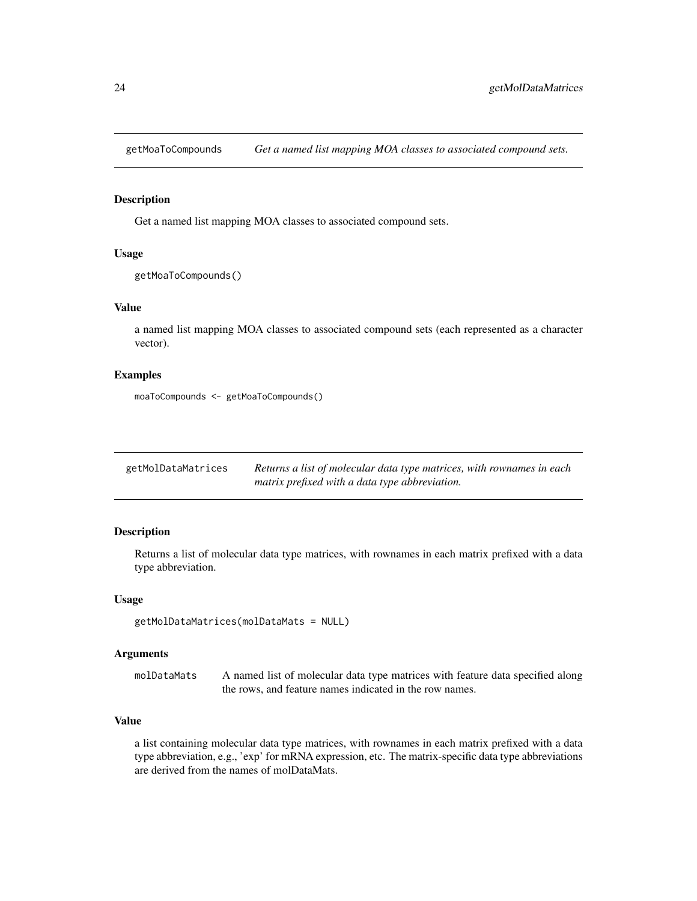<span id="page-23-0"></span>getMoaToCompounds *Get a named list mapping MOA classes to associated compound sets.*

# Description

Get a named list mapping MOA classes to associated compound sets.

#### Usage

```
getMoaToCompounds()
```
# Value

a named list mapping MOA classes to associated compound sets (each represented as a character vector).

# Examples

moaToCompounds <- getMoaToCompounds()

| getMolDataMatrices | Returns a list of molecular data type matrices, with rownames in each |
|--------------------|-----------------------------------------------------------------------|
|                    | matrix prefixed with a data type abbreviation.                        |

# Description

Returns a list of molecular data type matrices, with rownames in each matrix prefixed with a data type abbreviation.

# Usage

getMolDataMatrices(molDataMats = NULL)

#### Arguments

molDataMats A named list of molecular data type matrices with feature data specified along the rows, and feature names indicated in the row names.

#### Value

a list containing molecular data type matrices, with rownames in each matrix prefixed with a data type abbreviation, e.g., 'exp' for mRNA expression, etc. The matrix-specific data type abbreviations are derived from the names of molDataMats.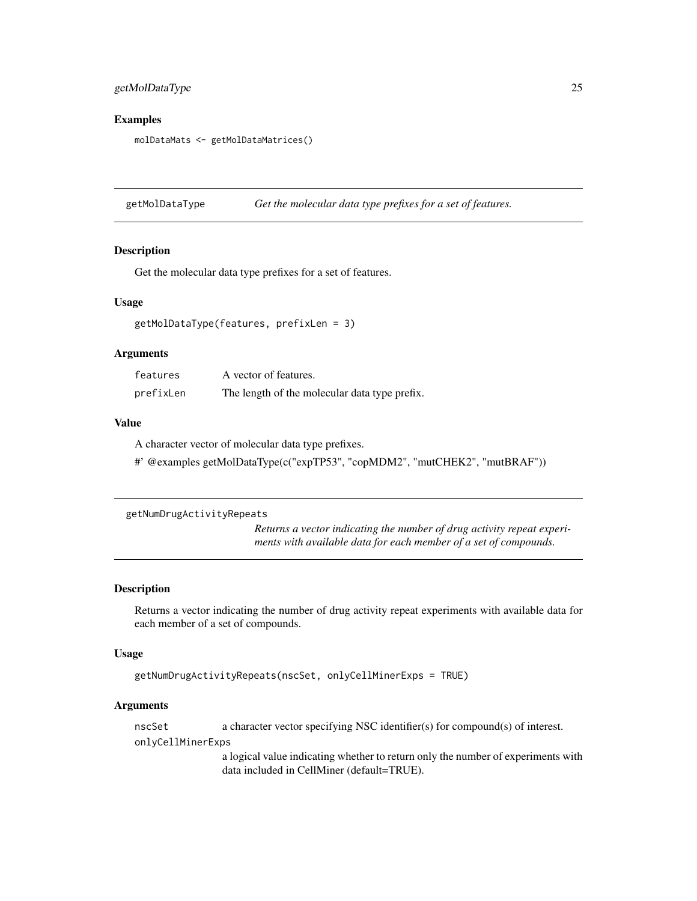# <span id="page-24-0"></span>getMolDataType 25

#### Examples

molDataMats <- getMolDataMatrices()

getMolDataType *Get the molecular data type prefixes for a set of features.*

# Description

Get the molecular data type prefixes for a set of features.

#### Usage

```
getMolDataType(features, prefixLen = 3)
```
#### Arguments

| features  | A vector of features.                         |
|-----------|-----------------------------------------------|
| prefixLen | The length of the molecular data type prefix. |

#### Value

A character vector of molecular data type prefixes.

#' @examples getMolDataType(c("expTP53", "copMDM2", "mutCHEK2", "mutBRAF"))

```
getNumDrugActivityRepeats
```
*Returns a vector indicating the number of drug activity repeat experiments with available data for each member of a set of compounds.*

#### Description

Returns a vector indicating the number of drug activity repeat experiments with available data for each member of a set of compounds.

#### Usage

```
getNumDrugActivityRepeats(nscSet, onlyCellMinerExps = TRUE)
```
#### Arguments

nscSet a character vector specifying NSC identifier(s) for compound(s) of interest. onlyCellMinerExps

> a logical value indicating whether to return only the number of experiments with data included in CellMiner (default=TRUE).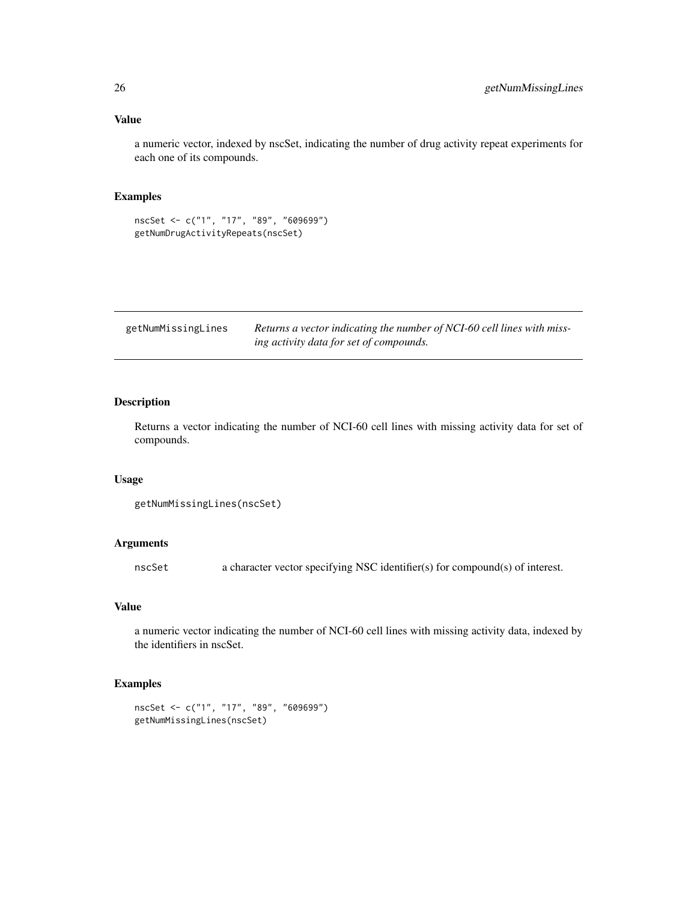#### <span id="page-25-0"></span>Value

a numeric vector, indexed by nscSet, indicating the number of drug activity repeat experiments for each one of its compounds.

# Examples

```
nscSet <- c("1", "17", "89", "609699")
getNumDrugActivityRepeats(nscSet)
```

| getNumMissingLines | Returns a vector indicating the number of NCI-60 cell lines with miss- |
|--------------------|------------------------------------------------------------------------|
|                    | ing activity data for set of compounds.                                |

# Description

Returns a vector indicating the number of NCI-60 cell lines with missing activity data for set of compounds.

#### Usage

```
getNumMissingLines(nscSet)
```
#### Arguments

nscSet a character vector specifying NSC identifier(s) for compound(s) of interest.

#### Value

a numeric vector indicating the number of NCI-60 cell lines with missing activity data, indexed by the identifiers in nscSet.

#### Examples

```
nscSet <- c("1", "17", "89", "609699")
getNumMissingLines(nscSet)
```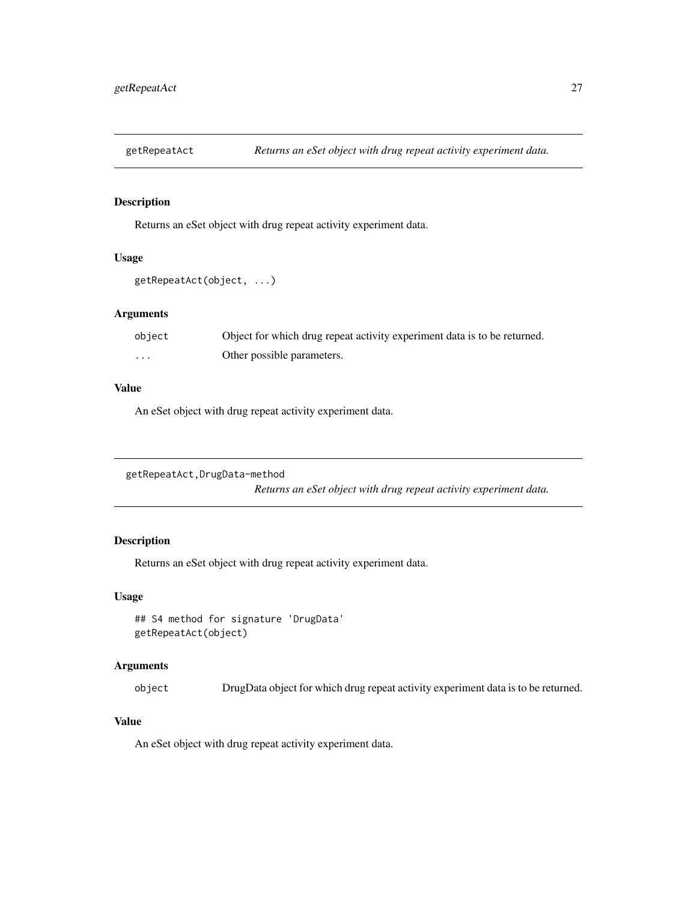<span id="page-26-0"></span>

# Description

Returns an eSet object with drug repeat activity experiment data.

# Usage

```
getRepeatAct(object, ...)
```
# Arguments

| object   | Object for which drug repeat activity experiment data is to be returned. |
|----------|--------------------------------------------------------------------------|
| $\cdots$ | Other possible parameters.                                               |

# Value

An eSet object with drug repeat activity experiment data.

```
getRepeatAct,DrugData-method
```
*Returns an eSet object with drug repeat activity experiment data.*

# Description

Returns an eSet object with drug repeat activity experiment data.

#### Usage

```
## S4 method for signature 'DrugData'
getRepeatAct(object)
```
# Arguments

object DrugData object for which drug repeat activity experiment data is to be returned.

#### Value

An eSet object with drug repeat activity experiment data.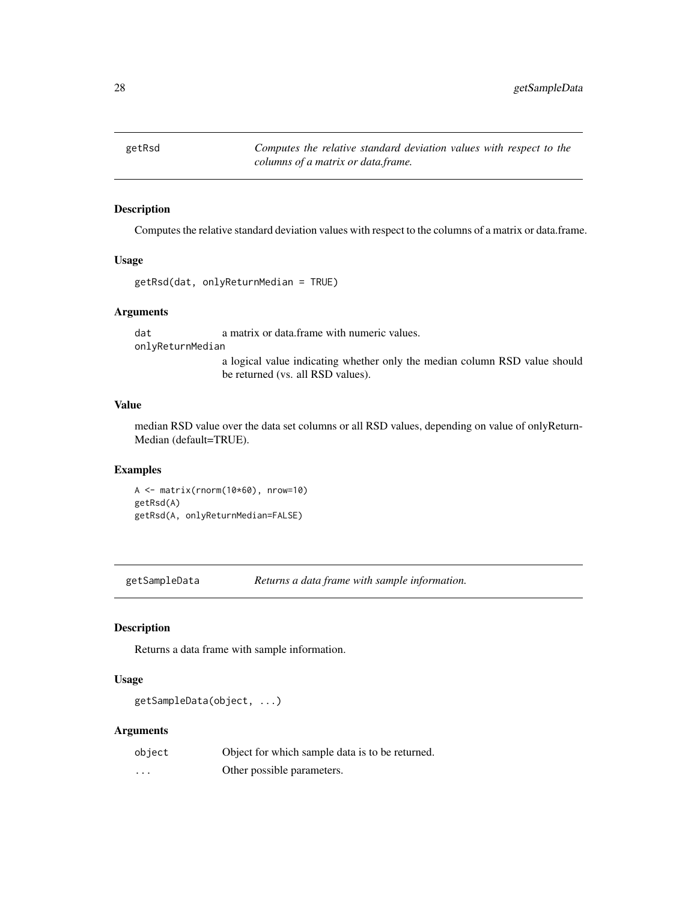<span id="page-27-0"></span>getRsd *Computes the relative standard deviation values with respect to the columns of a matrix or data.frame.*

# Description

Computes the relative standard deviation values with respect to the columns of a matrix or data.frame.

#### Usage

```
getRsd(dat, onlyReturnMedian = TRUE)
```
#### Arguments

dat a matrix or data.frame with numeric values. onlyReturnMedian

> a logical value indicating whether only the median column RSD value should be returned (vs. all RSD values).

#### Value

median RSD value over the data set columns or all RSD values, depending on value of onlyReturn-Median (default=TRUE).

#### Examples

```
A <- matrix(rnorm(10*60), nrow=10)
getRsd(A)
getRsd(A, onlyReturnMedian=FALSE)
```
getSampleData *Returns a data frame with sample information.*

#### Description

Returns a data frame with sample information.

#### Usage

```
getSampleData(object, ...)
```
#### Arguments

| object | Object for which sample data is to be returned. |
|--------|-------------------------------------------------|
| .      | Other possible parameters.                      |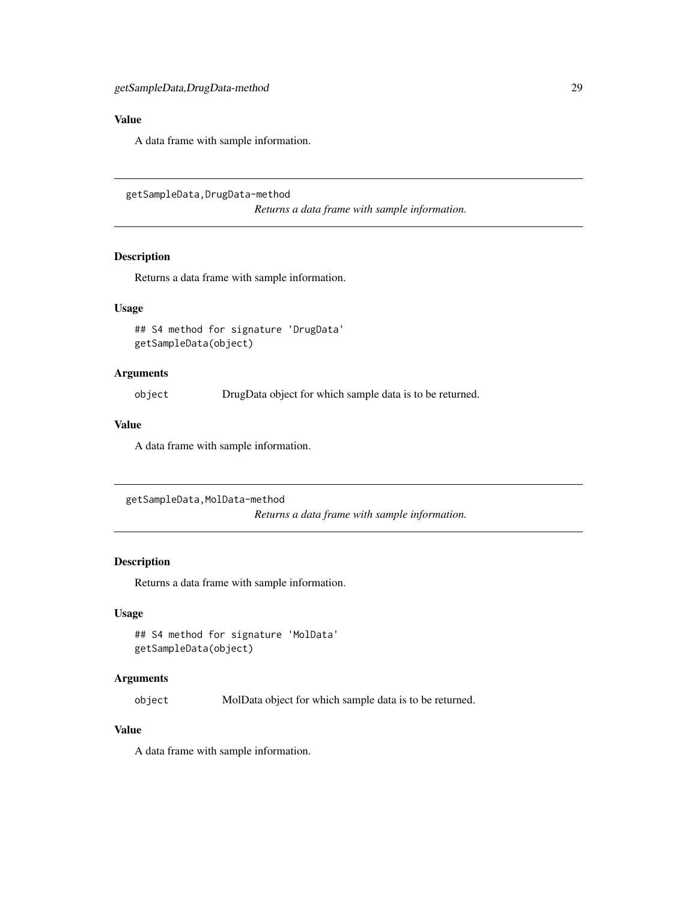# <span id="page-28-0"></span>Value

A data frame with sample information.

getSampleData,DrugData-method

*Returns a data frame with sample information.*

# Description

Returns a data frame with sample information.

# Usage

## S4 method for signature 'DrugData' getSampleData(object)

#### Arguments

object DrugData object for which sample data is to be returned.

#### Value

A data frame with sample information.

```
getSampleData,MolData-method
```
*Returns a data frame with sample information.*

# Description

Returns a data frame with sample information.

# Usage

## S4 method for signature 'MolData' getSampleData(object)

#### Arguments

object MolData object for which sample data is to be returned.

#### Value

A data frame with sample information.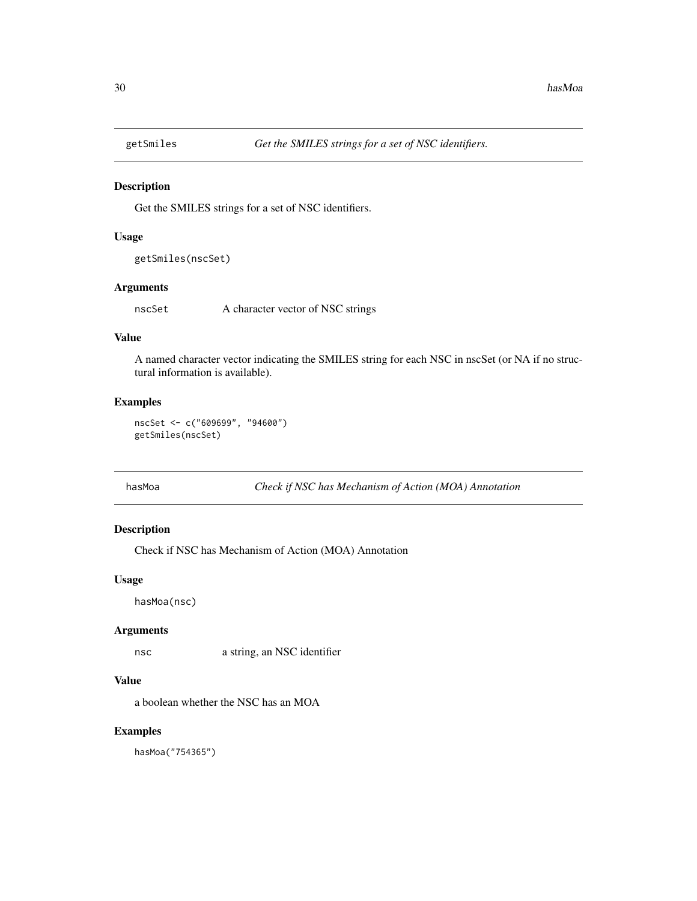<span id="page-29-0"></span>

#### Description

Get the SMILES strings for a set of NSC identifiers.

# Usage

```
getSmiles(nscSet)
```
# Arguments

nscSet A character vector of NSC strings

# Value

A named character vector indicating the SMILES string for each NSC in nscSet (or NA if no structural information is available).

#### Examples

nscSet <- c("609699", "94600") getSmiles(nscSet)

hasMoa *Check if NSC has Mechanism of Action (MOA) Annotation*

# Description

Check if NSC has Mechanism of Action (MOA) Annotation

#### Usage

hasMoa(nsc)

#### Arguments

nsc a string, an NSC identifier

# Value

a boolean whether the NSC has an MOA

## Examples

hasMoa("754365")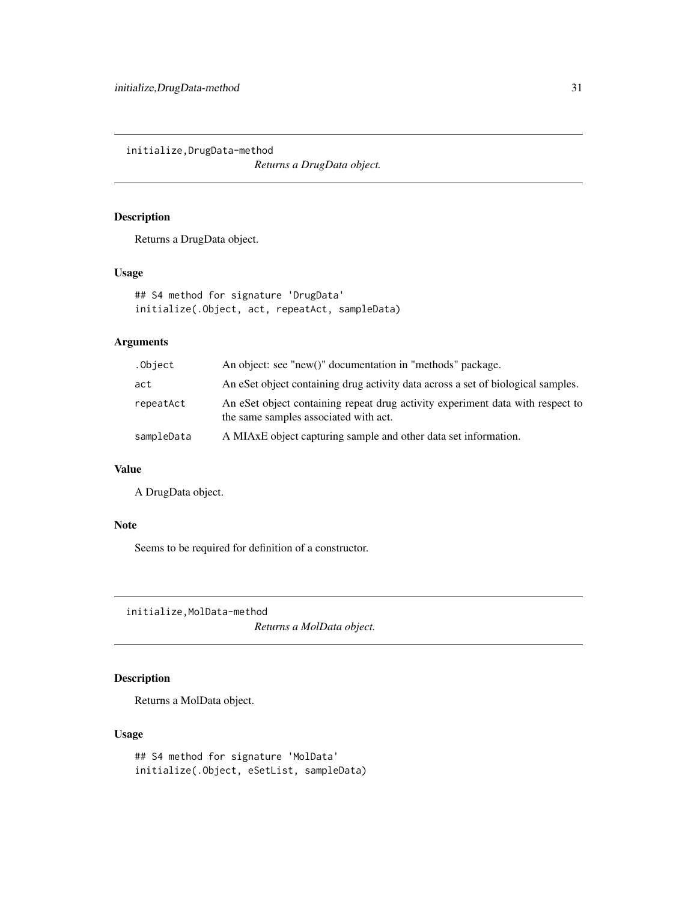<span id="page-30-0"></span>initialize,DrugData-method

*Returns a DrugData object.*

# Description

Returns a DrugData object.

# Usage

```
## S4 method for signature 'DrugData'
initialize(.Object, act, repeatAct, sampleData)
```
#### Arguments

| .Object    | An object: see "new()" documentation in "methods" package.                                                              |
|------------|-------------------------------------------------------------------------------------------------------------------------|
| act        | An eSet object containing drug activity data across a set of biological samples.                                        |
| repeatAct  | An eSet object containing repeat drug activity experiment data with respect to<br>the same samples associated with act. |
| sampleData | A MIAxE object capturing sample and other data set information.                                                         |

# Value

A DrugData object.

#### Note

Seems to be required for definition of a constructor.

initialize,MolData-method

*Returns a MolData object.*

# Description

Returns a MolData object.

# Usage

```
## S4 method for signature 'MolData'
initialize(.Object, eSetList, sampleData)
```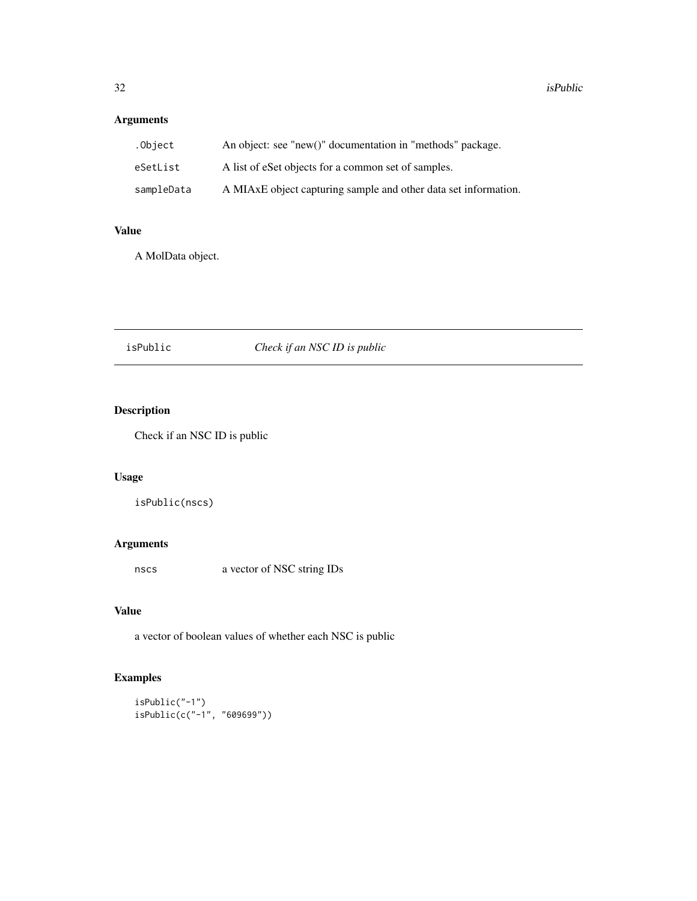# <span id="page-31-0"></span>Arguments

| .Object    | An object: see "new()" documentation in "methods" package.      |
|------------|-----------------------------------------------------------------|
| eSetList   | A list of eSet objects for a common set of samples.             |
| sampleData | A MIAxE object capturing sample and other data set information. |

# Value

A MolData object.

# isPublic *Check if an NSC ID is public*

# Description

Check if an NSC ID is public

# Usage

```
isPublic(nscs)
```
# Arguments

nscs a vector of NSC string IDs

# Value

a vector of boolean values of whether each NSC is public

# Examples

```
isPublic("-1")
isPublic(c("-1", "609699"))
```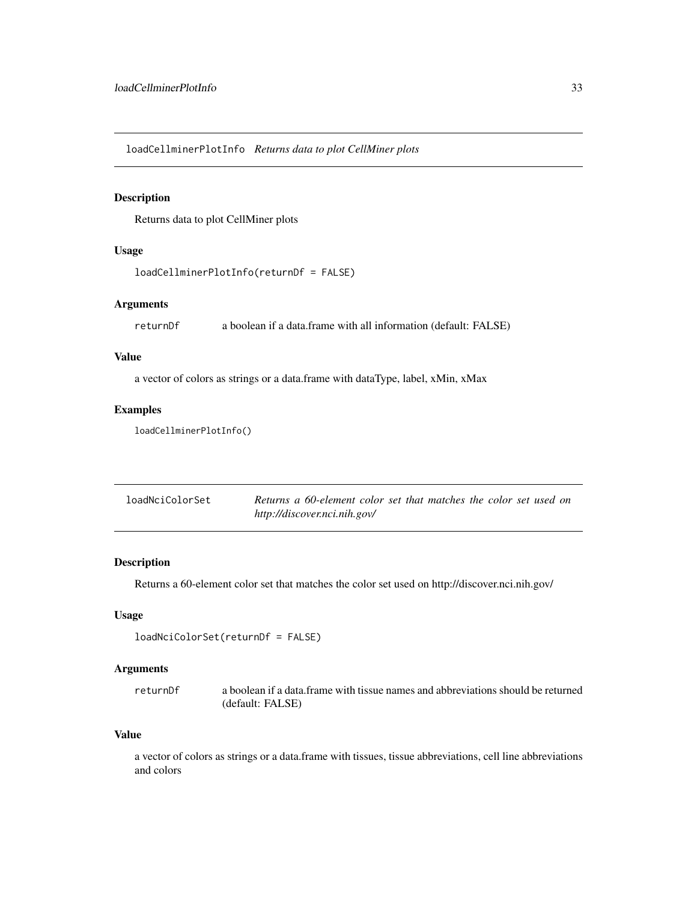<span id="page-32-0"></span>loadCellminerPlotInfo *Returns data to plot CellMiner plots*

#### Description

Returns data to plot CellMiner plots

# Usage

```
loadCellminerPlotInfo(returnDf = FALSE)
```
#### Arguments

returnDf a boolean if a data.frame with all information (default: FALSE)

#### Value

a vector of colors as strings or a data.frame with dataType, label, xMin, xMax

#### Examples

loadCellminerPlotInfo()

| loadNciColorSet | Returns a 60-element color set that matches the color set used on |
|-----------------|-------------------------------------------------------------------|
|                 | http://discover.nci.nih.gov/                                      |

# Description

Returns a 60-element color set that matches the color set used on http://discover.nci.nih.gov/

#### Usage

```
loadNciColorSet(returnDf = FALSE)
```
# Arguments

returnDf a boolean if a data.frame with tissue names and abbreviations should be returned (default: FALSE)

#### Value

a vector of colors as strings or a data.frame with tissues, tissue abbreviations, cell line abbreviations and colors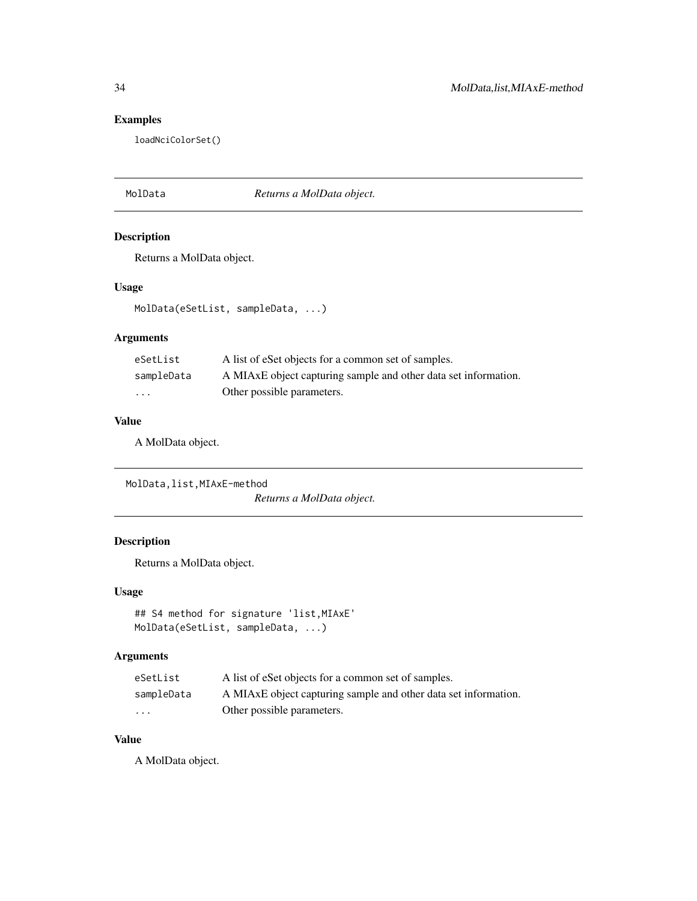# Examples

loadNciColorSet()

MolData *Returns a MolData object.*

# Description

Returns a MolData object.

# Usage

MolData(eSetList, sampleData, ...)

# Arguments

| eSetList   | A list of eSet objects for a common set of samples.             |
|------------|-----------------------------------------------------------------|
| sampleData | A MIAxE object capturing sample and other data set information. |
| .          | Other possible parameters.                                      |

# Value

A MolData object.

MolData,list,MIAxE-method *Returns a MolData object.*

# Description

Returns a MolData object.

#### Usage

```
## S4 method for signature 'list,MIAxE'
MolData(eSetList, sampleData, ...)
```
# Arguments

| eSetList   | A list of eSet objects for a common set of samples.             |
|------------|-----------------------------------------------------------------|
| sampleData | A MIAxE object capturing sample and other data set information. |
| $\cdot$    | Other possible parameters.                                      |

# Value

A MolData object.

<span id="page-33-0"></span>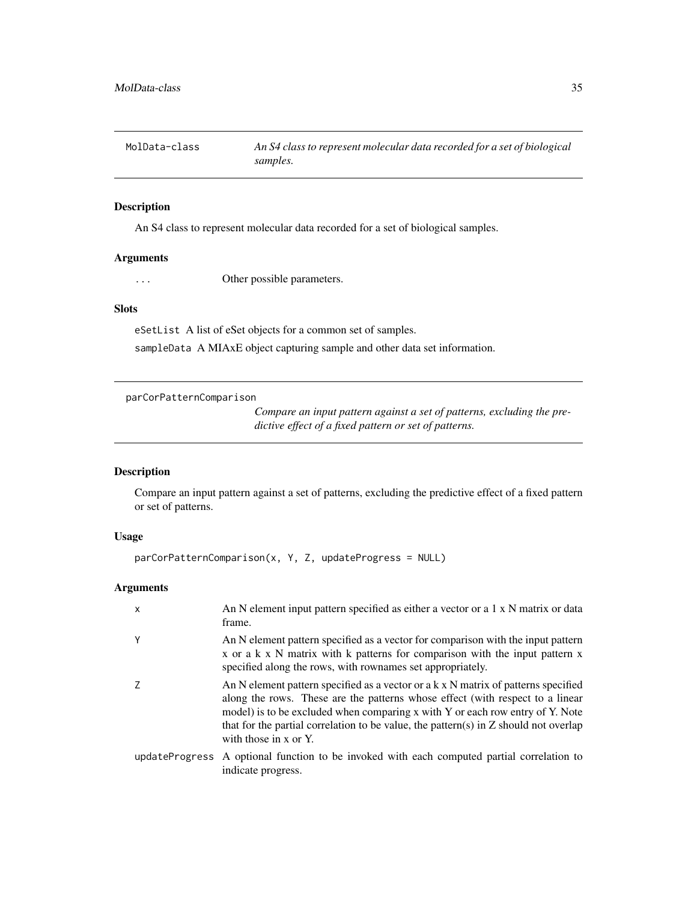<span id="page-34-0"></span>

### Description

An S4 class to represent molecular data recorded for a set of biological samples.

#### Arguments

... Other possible parameters.

# Slots

eSetList A list of eSet objects for a common set of samples. sampleData A MIAxE object capturing sample and other data set information.

parCorPatternComparison

*Compare an input pattern against a set of patterns, excluding the predictive effect of a fixed pattern or set of patterns.*

#### Description

Compare an input pattern against a set of patterns, excluding the predictive effect of a fixed pattern or set of patterns.

#### Usage

```
parCorPatternComparison(x, Y, Z, updateProgress = NULL)
```
# Arguments

| $\mathsf{x}$ | An N element input pattern specified as either a vector or a 1 x N matrix or data<br>frame.                                                                                                                                                                                                                                                                                  |
|--------------|------------------------------------------------------------------------------------------------------------------------------------------------------------------------------------------------------------------------------------------------------------------------------------------------------------------------------------------------------------------------------|
| Y            | An N element pattern specified as a vector for comparison with the input pattern<br>x or a k x N matrix with k patterns for comparison with the input pattern x<br>specified along the rows, with rownames set appropriately.                                                                                                                                                |
|              | An N element pattern specified as a vector or a k x N matrix of patterns specified<br>along the rows. These are the patterns whose effect (with respect to a linear<br>model) is to be excluded when comparing x with Y or each row entry of Y. Note<br>that for the partial correlation to be value, the pattern(s) in $Z$ should not overlap<br>with those in $x$ or $Y$ . |
|              | updateProgress A optional function to be invoked with each computed partial correlation to<br>indicate progress.                                                                                                                                                                                                                                                             |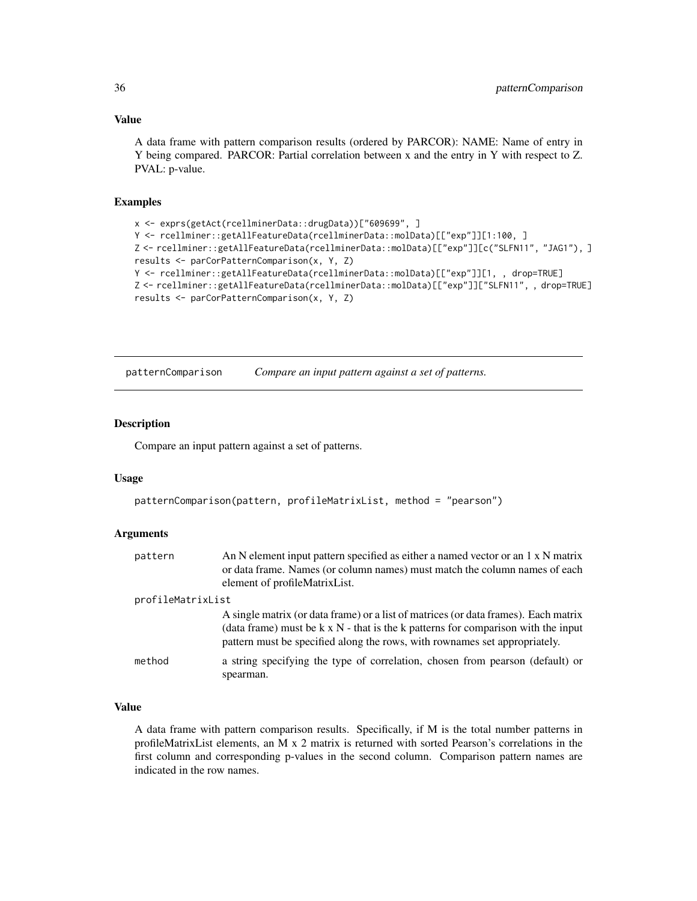#### Value

A data frame with pattern comparison results (ordered by PARCOR): NAME: Name of entry in Y being compared. PARCOR: Partial correlation between x and the entry in Y with respect to Z. PVAL: p-value.

# Examples

```
x <- exprs(getAct(rcellminerData::drugData))["609699", ]
Y <- rcellminer::getAllFeatureData(rcellminerData::molData)[["exp"]][1:100, ]
Z <- rcellminer::getAllFeatureData(rcellminerData::molData)[["exp"]][c("SLFN11", "JAG1"), ]
results <- parCorPatternComparison(x, Y, Z)
Y <- rcellminer::getAllFeatureData(rcellminerData::molData)[["exp"]][1, , drop=TRUE]
Z <- rcellminer::getAllFeatureData(rcellminerData::molData)[["exp"]]["SLFN11", , drop=TRUE]
results <- parCorPatternComparison(x, Y, Z)
```
patternComparison *Compare an input pattern against a set of patterns.*

#### Description

Compare an input pattern against a set of patterns.

#### Usage

```
patternComparison(pattern, profileMatrixList, method = "pearson")
```
#### Arguments

| pattern           | An N element input pattern specified as either a named vector or an 1 x N matrix<br>or data frame. Names (or column names) must match the column names of each<br>element of profileMatrixList.                                                               |  |
|-------------------|---------------------------------------------------------------------------------------------------------------------------------------------------------------------------------------------------------------------------------------------------------------|--|
| profileMatrixList |                                                                                                                                                                                                                                                               |  |
|                   | A single matrix (or data frame) or a list of matrices (or data frames). Each matrix<br>(data frame) must be $k \times N$ - that is the k patterns for comparison with the input<br>pattern must be specified along the rows, with rownames set appropriately. |  |
| method            | a string specifying the type of correlation, chosen from pearson (default) or<br>spearman.                                                                                                                                                                    |  |

# Value

A data frame with pattern comparison results. Specifically, if M is the total number patterns in profileMatrixList elements, an M x 2 matrix is returned with sorted Pearson's correlations in the first column and corresponding p-values in the second column. Comparison pattern names are indicated in the row names.

<span id="page-35-0"></span>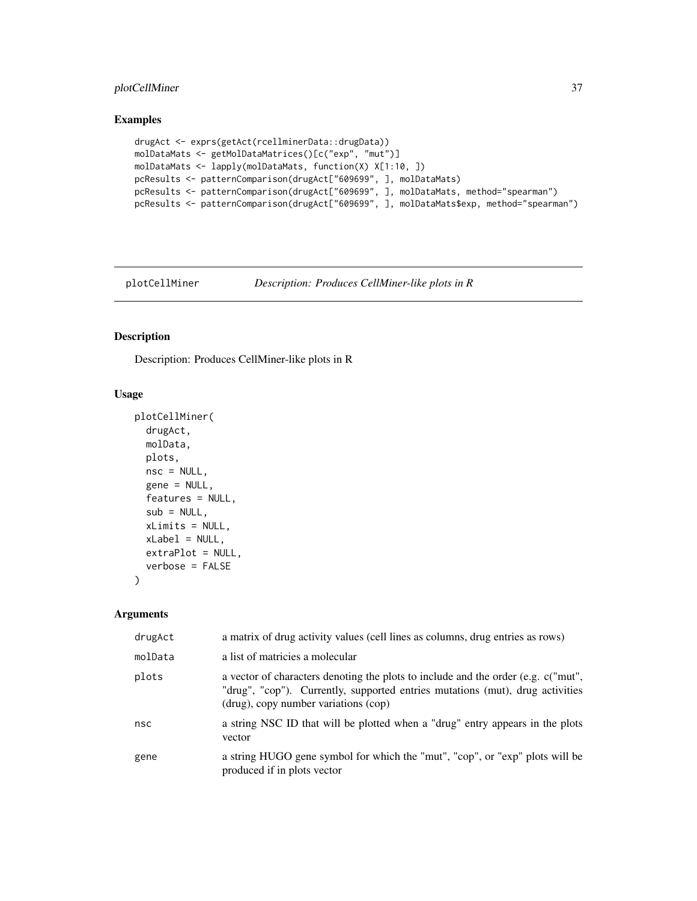# <span id="page-36-0"></span>plotCellMiner 37

# Examples

```
drugAct <- exprs(getAct(rcellminerData::drugData))
molDataMats <- getMolDataMatrices()[c("exp", "mut")]
molDataMats <- lapply(molDataMats, function(X) X[1:10, ])
pcResults <- patternComparison(drugAct["609699", ], molDataMats)
pcResults <- patternComparison(drugAct["609699", ], molDataMats, method="spearman")
pcResults <- patternComparison(drugAct["609699", ], molDataMats$exp, method="spearman")
```
plotCellMiner *Description: Produces CellMiner-like plots in R*

# Description

Description: Produces CellMiner-like plots in R

# Usage

```
plotCellMiner(
  drugAct,
  molData,
 plots,
  nsc = NULL,
  gene = NULL,
  features = NULL,
  sub = NULL,xLimits = NULL,
  xLabel = NULL,extraPlot = NULL,
  verbose = FALSE
\lambda
```
#### Arguments

| drugAct | a matrix of drug activity values (cell lines as columns, drug entries as rows)                                                                                                                               |
|---------|--------------------------------------------------------------------------------------------------------------------------------------------------------------------------------------------------------------|
| molData | a list of matricies a molecular                                                                                                                                                                              |
| plots   | a vector of characters denoting the plots to include and the order (e.g. $c("mut",$<br>"drug", "cop"). Currently, supported entries mutations (mut), drug activities<br>(drug), copy number variations (cop) |
| nsc     | a string NSC ID that will be plotted when a "drug" entry appears in the plots<br>vector                                                                                                                      |
| gene    | a string HUGO gene symbol for which the "mut", "cop", or "exp" plots will be<br>produced if in plots vector                                                                                                  |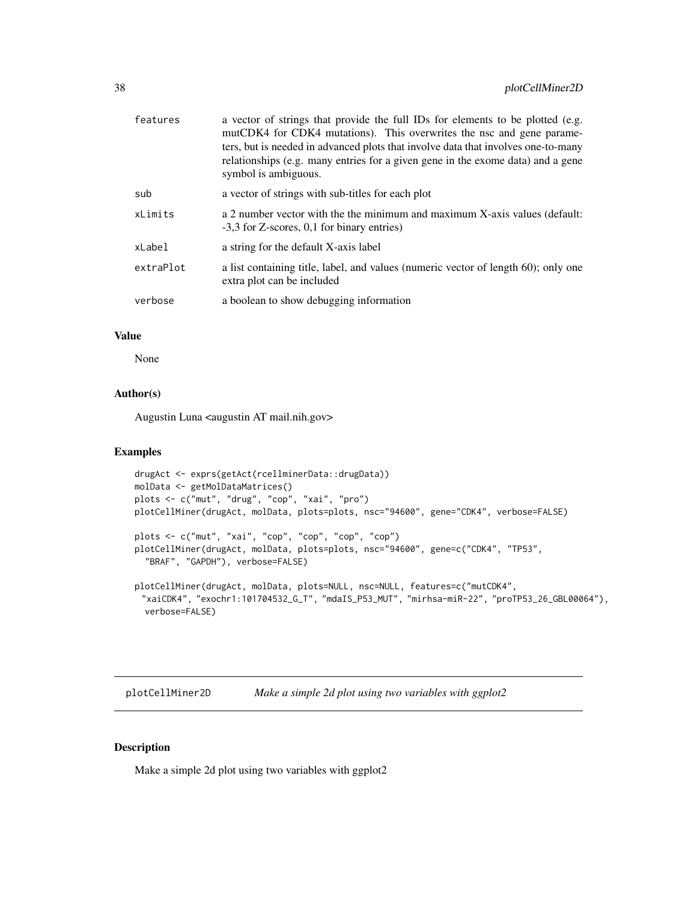<span id="page-37-0"></span>

| features  | a vector of strings that provide the full IDs for elements to be plotted (e.g.<br>mutCDK4 for CDK4 mutations). This overwrites the nsc and gene parame-<br>ters, but is needed in advanced plots that involve data that involves one-to-many<br>relationships (e.g. many entries for a given gene in the exome data) and a gene<br>symbol is ambiguous. |
|-----------|---------------------------------------------------------------------------------------------------------------------------------------------------------------------------------------------------------------------------------------------------------------------------------------------------------------------------------------------------------|
| sub       | a vector of strings with sub-titles for each plot                                                                                                                                                                                                                                                                                                       |
| xLimits   | a 2 number vector with the the minimum and maximum X-axis values (default:<br>-3,3 for Z-scores, 0,1 for binary entries)                                                                                                                                                                                                                                |
| xLabel    | a string for the default X-axis label                                                                                                                                                                                                                                                                                                                   |
| extraPlot | a list containing title, label, and values (numeric vector of length 60); only one<br>extra plot can be included                                                                                                                                                                                                                                        |
| verbose   | a boolean to show debugging information                                                                                                                                                                                                                                                                                                                 |

#### Value

None

# Author(s)

Augustin Luna <augustin AT mail.nih.gov>

#### Examples

```
drugAct <- exprs(getAct(rcellminerData::drugData))
molData <- getMolDataMatrices()
plots <- c("mut", "drug", "cop", "xai", "pro")
plotCellMiner(drugAct, molData, plots=plots, nsc="94600", gene="CDK4", verbose=FALSE)
plots <- c("mut", "xai", "cop", "cop", "cop", "cop")
plotCellMiner(drugAct, molData, plots=plots, nsc="94600", gene=c("CDK4", "TP53",
  "BRAF", "GAPDH"), verbose=FALSE)
plotCellMiner(drugAct, molData, plots=NULL, nsc=NULL, features=c("mutCDK4",
 "xaiCDK4", "exochr1:101704532_G_T", "mdaIS_P53_MUT", "mirhsa-miR-22", "proTP53_26_GBL00064"),
  verbose=FALSE)
```
plotCellMiner2D *Make a simple 2d plot using two variables with ggplot2*

#### Description

Make a simple 2d plot using two variables with ggplot2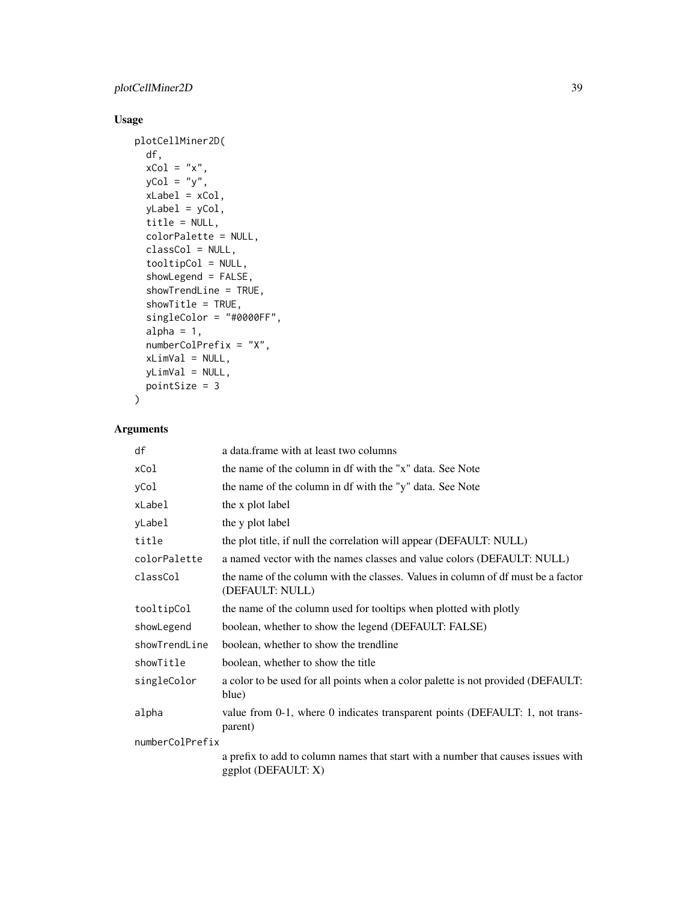# Usage

```
plotCellMiner2D(
 df,
 xCo1 = "x",yCol = "y",xLabel = xCol,yLabel = yCol,
  title = NULL,
  colorPalette = NULL,
 classCol = NULL,
  tooltipCol = NULL,
  showLegend = FALSE,
  showTrendLine = TRUE,
  showTitle = TRUE,
  singleColor = "#0000FF",
  alpha = 1,
  numberColPrefix = "X",
 xLimVal = NULL,
 yLimVal = NULL,
 pointSize = 3
\mathcal{L}
```
# Arguments

| df              | a data. frame with at least two columns                                                                 |
|-----------------|---------------------------------------------------------------------------------------------------------|
| xCol            | the name of the column in df with the "x" data. See Note                                                |
| yCol            | the name of the column in df with the "y" data. See Note                                                |
| xLabel          | the x plot label                                                                                        |
| yLabel          | the y plot label                                                                                        |
| title           | the plot title, if null the correlation will appear (DEFAULT: NULL)                                     |
| colorPalette    | a named vector with the names classes and value colors (DEFAULT: NULL)                                  |
| classCol        | the name of the column with the classes. Values in column of df must be a factor<br>(DEFAULT: NULL)     |
| tooltipCol      | the name of the column used for tooltips when plotted with plotly                                       |
| showLegend      | boolean, whether to show the legend (DEFAULT: FALSE)                                                    |
| showTrendLine   | boolean, whether to show the trendline                                                                  |
| showTitle       | boolean, whether to show the title                                                                      |
| singleColor     | a color to be used for all points when a color palette is not provided (DEFAULT:<br>blue)               |
| alpha           | value from 0-1, where 0 indicates transparent points (DEFAULT: 1, not trans-<br>parent)                 |
| numberColPrefix |                                                                                                         |
|                 | a prefix to add to column names that start with a number that causes issues with<br>ggplot (DEFAULT: X) |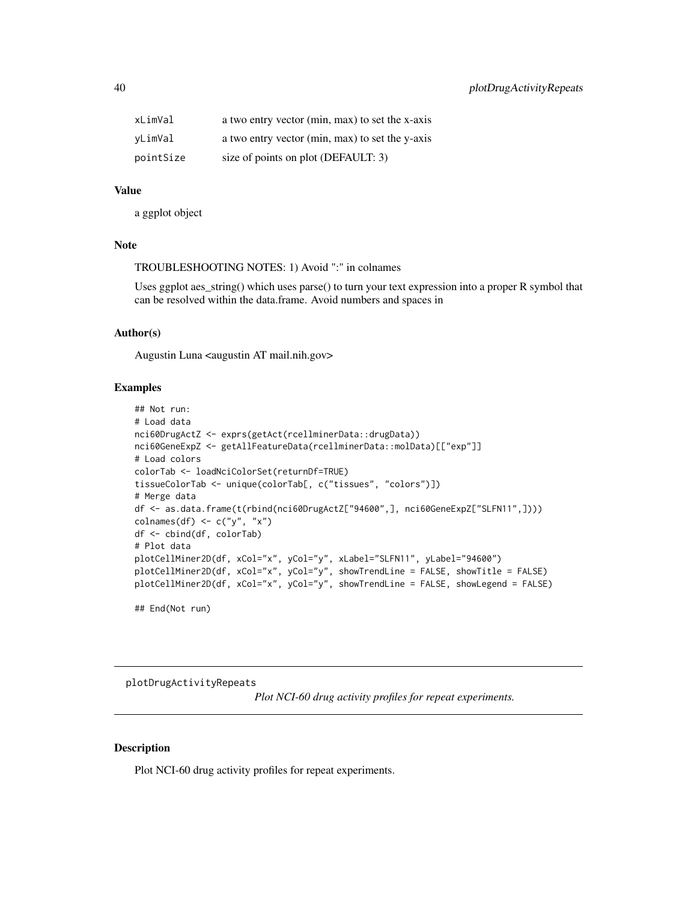<span id="page-39-0"></span>

| xLimVal   | a two entry vector (min, max) to set the x-axis |
|-----------|-------------------------------------------------|
| vLimVal   | a two entry vector (min, max) to set the y-axis |
| pointSize | size of points on plot (DEFAULT: 3)             |

#### Value

a ggplot object

#### Note

TROUBLESHOOTING NOTES: 1) Avoid ":" in colnames

Uses ggplot aes\_string() which uses parse() to turn your text expression into a proper R symbol that can be resolved within the data.frame. Avoid numbers and spaces in

#### Author(s)

Augustin Luna <augustin AT mail.nih.gov>

#### Examples

```
## Not run:
# Load data
nci60DrugActZ <- exprs(getAct(rcellminerData::drugData))
nci60GeneExpZ <- getAllFeatureData(rcellminerData::molData)[["exp"]]
# Load colors
colorTab <- loadNciColorSet(returnDf=TRUE)
tissueColorTab <- unique(colorTab[, c("tissues", "colors")])
# Merge data
df <- as.data.frame(t(rbind(nci60DrugActZ["94600",], nci60GeneExpZ["SLFN11",])))
colnames(df) <- c("y", "x")df <- cbind(df, colorTab)
# Plot data
plotCellMiner2D(df, xCol="x", yCol="y", xLabel="SLFN11", yLabel="94600")
plotCellMiner2D(df, xCol="x", yCol="y", showTrendLine = FALSE, showTitle = FALSE)
plotCellMiner2D(df, xCol="x", yCol="y", showTrendLine = FALSE, showLegend = FALSE)
## End(Not run)
```
plotDrugActivityRepeats

*Plot NCI-60 drug activity profiles for repeat experiments.*

#### Description

Plot NCI-60 drug activity profiles for repeat experiments.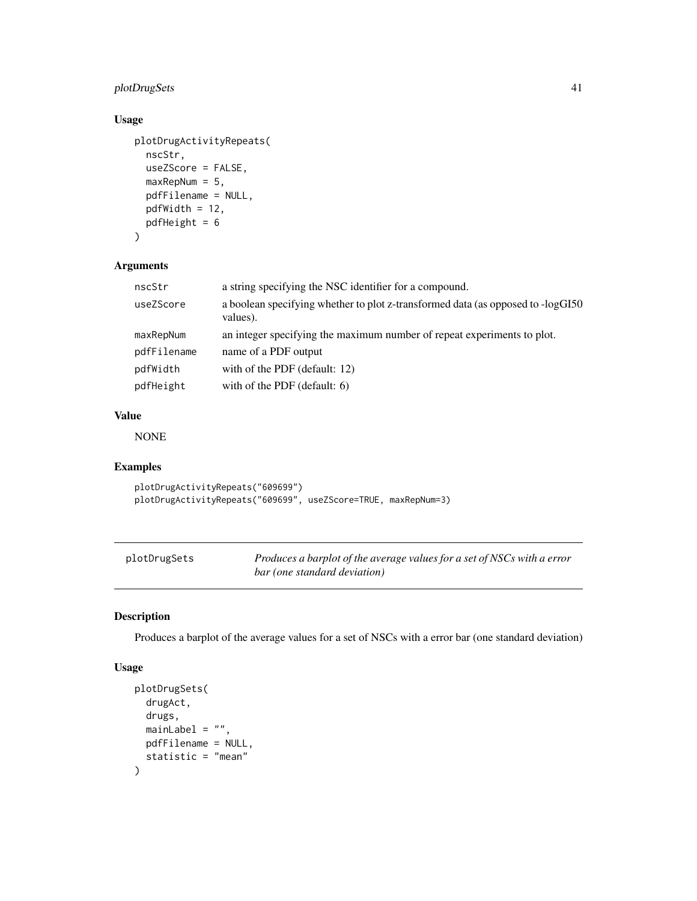# <span id="page-40-0"></span>plotDrugSets 41

# Usage

```
plotDrugActivityRepeats(
 nscStr,
 useZScore = FALSE,
 maxRepNum = 5,
 pdfFilename = NULL,
 pdfWidth = 12,
 pdfHeight = 6
)
```
# Arguments

| nscStr      | a string specifying the NSC identifier for a compound.                                       |
|-------------|----------------------------------------------------------------------------------------------|
| useZScore   | a boolean specifying whether to plot z-transformed data (as opposed to -logGI50)<br>values). |
| maxRepNum   | an integer specifying the maximum number of repeat experiments to plot.                      |
| pdfFilename | name of a PDF output                                                                         |
| pdfWidth    | with of the PDF (default: 12)                                                                |
| pdfHeight   | with of the PDF (default: 6)                                                                 |
|             |                                                                                              |

# Value

NONE

# Examples

```
plotDrugActivityRepeats("609699")
plotDrugActivityRepeats("609699", useZScore=TRUE, maxRepNum=3)
```

| plotDrugSets | Produces a barplot of the average values for a set of NSCs with a error |
|--------------|-------------------------------------------------------------------------|
|              | bar (one standard deviation)                                            |

# Description

Produces a barplot of the average values for a set of NSCs with a error bar (one standard deviation)

#### Usage

```
plotDrugSets(
  drugAct,
  drugs,
  mainLabel = ",
  pdfFilename = NULL,
  statistic = "mean"
\mathcal{E}
```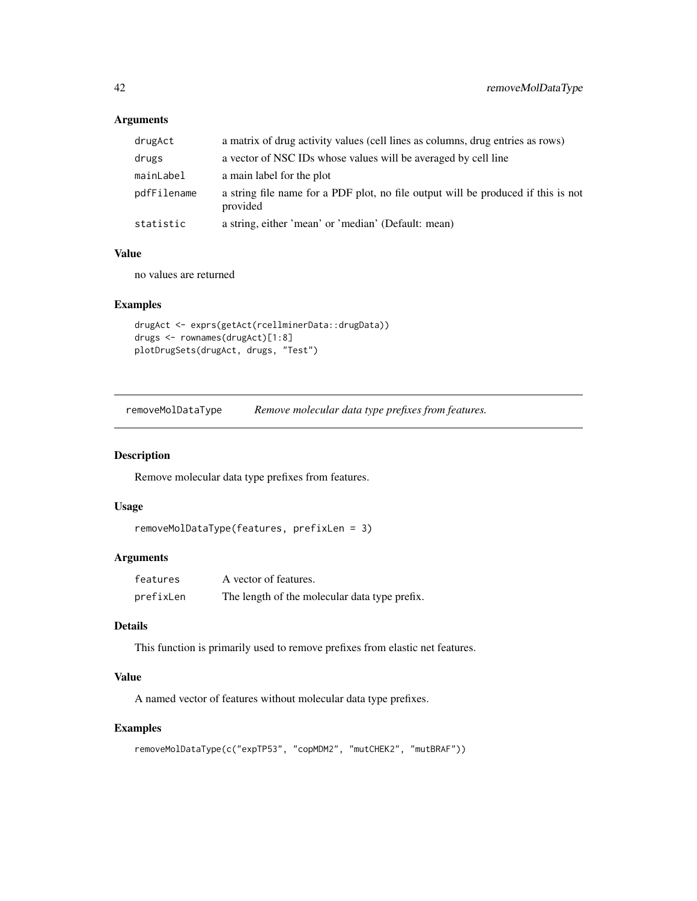# Arguments

| drugAct     | a matrix of drug activity values (cell lines as columns, drug entries as rows)                |
|-------------|-----------------------------------------------------------------------------------------------|
| drugs       | a vector of NSC IDs whose values will be averaged by cell line                                |
| mainLabel   | a main label for the plot                                                                     |
| pdfFilename | a string file name for a PDF plot, no file output will be produced if this is not<br>provided |
| statistic   | a string, either 'mean' or 'median' (Default: mean)                                           |

#### Value

no values are returned

# Examples

```
drugAct <- exprs(getAct(rcellminerData::drugData))
drugs <- rownames(drugAct)[1:8]
plotDrugSets(drugAct, drugs, "Test")
```
removeMolDataType *Remove molecular data type prefixes from features.*

#### Description

Remove molecular data type prefixes from features.

# Usage

```
removeMolDataType(features, prefixLen = 3)
```
#### Arguments

| features  | A vector of features.                         |
|-----------|-----------------------------------------------|
| prefixLen | The length of the molecular data type prefix. |

# Details

This function is primarily used to remove prefixes from elastic net features.

# Value

A named vector of features without molecular data type prefixes.

# Examples

```
removeMolDataType(c("expTP53", "copMDM2", "mutCHEK2", "mutBRAF"))
```
<span id="page-41-0"></span>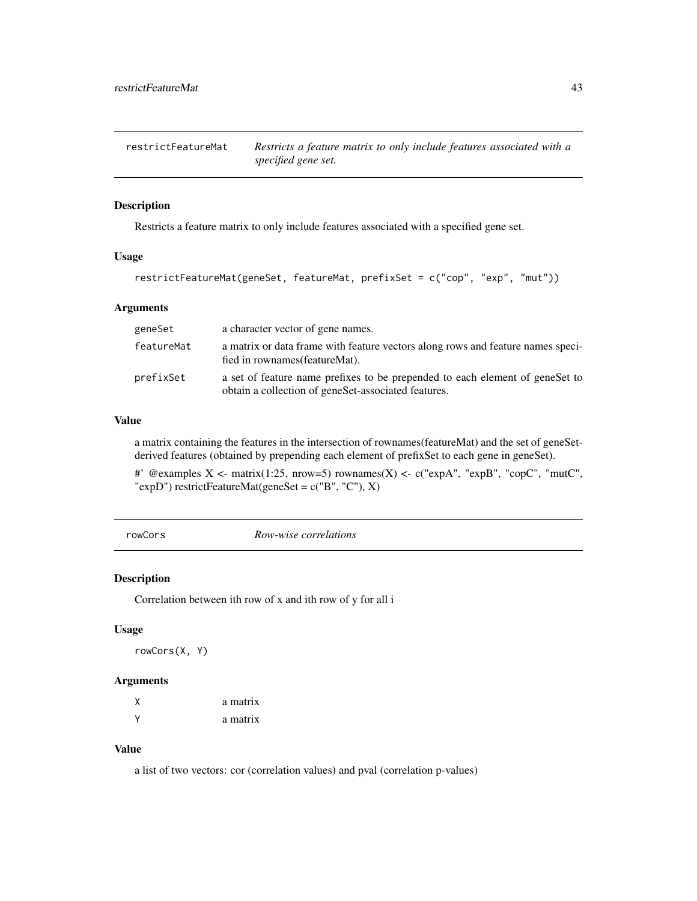<span id="page-42-0"></span>restrictFeatureMat *Restricts a feature matrix to only include features associated with a specified gene set.*

#### Description

Restricts a feature matrix to only include features associated with a specified gene set.

# Usage

```
restrictFeatureMat(geneSet, featureMat, prefixSet = c("cop", "exp", "mut"))
```
#### Arguments

| geneSet    | a character vector of gene names.                                                                                                    |
|------------|--------------------------------------------------------------------------------------------------------------------------------------|
| featureMat | a matrix or data frame with feature vectors along rows and feature names speci-<br>fied in rownames (featureMat).                    |
| prefixSet  | a set of feature name prefixes to be prepended to each element of genesiet to<br>obtain a collection of geneSet-associated features. |

# Value

a matrix containing the features in the intersection of rownames(featureMat) and the set of geneSetderived features (obtained by prepending each element of prefixSet to each gene in geneSet).

#' @examples X <- matrix(1:25, nrow=5) rownames(X) <- c("expA", "expB", "copC", "mutC", "expD") restrictFeatureMat(geneSet = c("B", "C"), X)

rowCors *Row-wise correlations*

#### Description

Correlation between ith row of x and ith row of y for all i

#### Usage

rowCors(X, Y)

#### Arguments

| χ      | a matrix |
|--------|----------|
| $\vee$ | a matrix |

# Value

a list of two vectors: cor (correlation values) and pval (correlation p-values)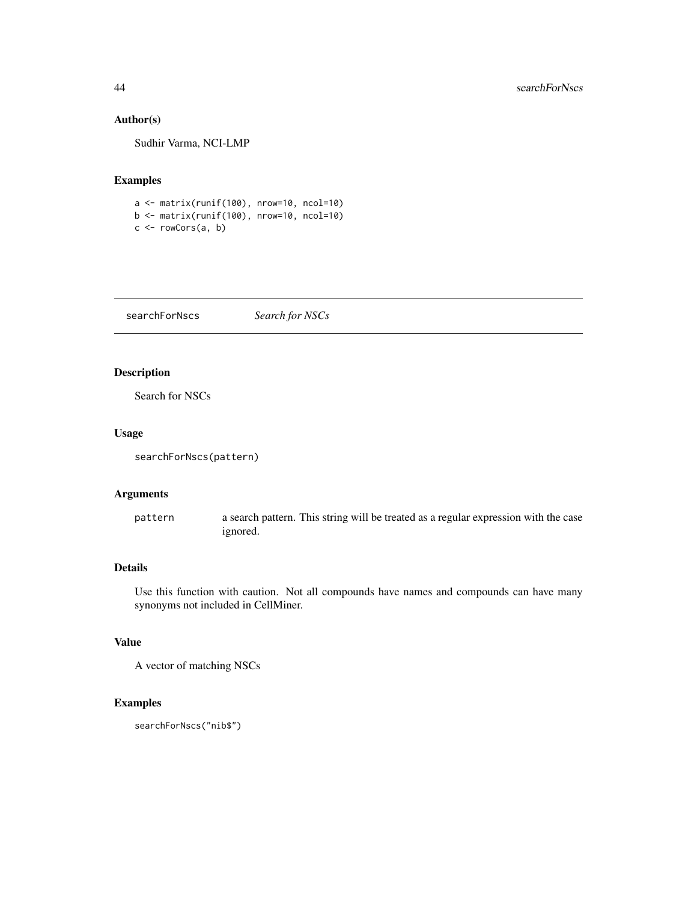## Author(s)

Sudhir Varma, NCI-LMP

# Examples

```
a <- matrix(runif(100), nrow=10, ncol=10)
b \le- matrix(runif(100), nrow=10, ncol=10)
c \leftarrow rowCons(a, b)
```
searchForNscs *Search for NSCs*

# Description

Search for NSCs

# Usage

```
searchForNscs(pattern)
```
# Arguments

pattern a search pattern. This string will be treated as a regular expression with the case ignored.

# Details

Use this function with caution. Not all compounds have names and compounds can have many synonyms not included in CellMiner.

# Value

A vector of matching NSCs

# Examples

searchForNscs("nib\$")

<span id="page-43-0"></span>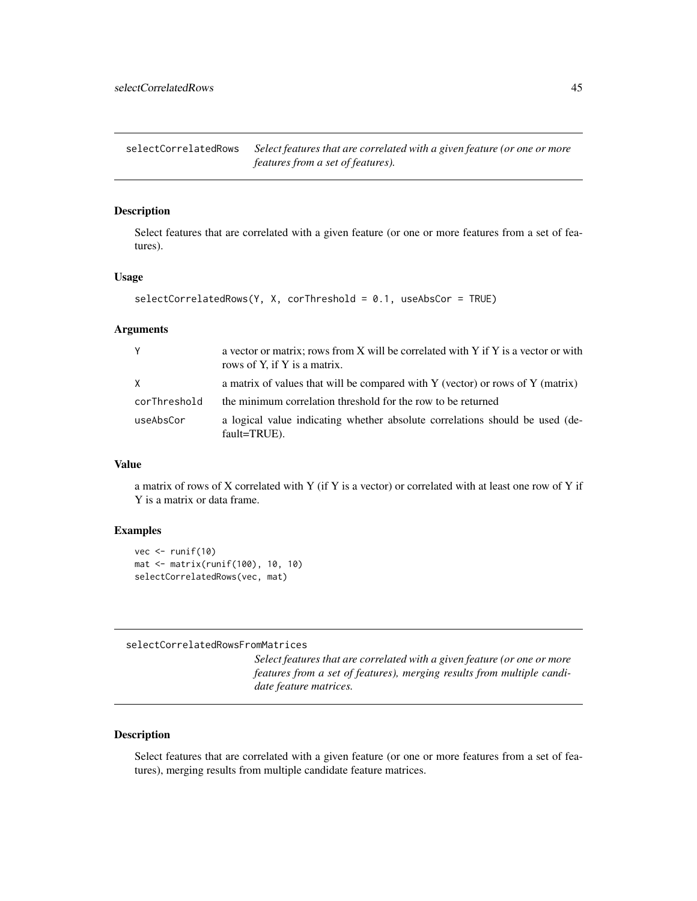<span id="page-44-0"></span>selectCorrelatedRows *Select features that are correlated with a given feature (or one or more features from a set of features).*

#### Description

Select features that are correlated with a given feature (or one or more features from a set of features).

#### Usage

```
selectCorrelatedRows(Y, X, corThreshold = 0.1, useAbsCor = TRUE)
```
#### Arguments

| Y            | a vector or matrix; rows from X will be correlated with Y if Y is a vector or with<br>rows of Y, if Y is a matrix. |
|--------------|--------------------------------------------------------------------------------------------------------------------|
| X            | a matrix of values that will be compared with Y (vector) or rows of Y (matrix)                                     |
| corThreshold | the minimum correlation threshold for the row to be returned                                                       |
| useAbsCor    | a logical value indicating whether absolute correlations should be used (de-<br>fault=TRUE).                       |

#### Value

a matrix of rows of X correlated with Y (if Y is a vector) or correlated with at least one row of Y if Y is a matrix or data frame.

#### Examples

```
vec < -</math> runif(10)mat <- matrix(runif(100), 10, 10)
selectCorrelatedRows(vec, mat)
```
selectCorrelatedRowsFromMatrices

*Select features that are correlated with a given feature (or one or more features from a set of features), merging results from multiple candidate feature matrices.*

#### Description

Select features that are correlated with a given feature (or one or more features from a set of features), merging results from multiple candidate feature matrices.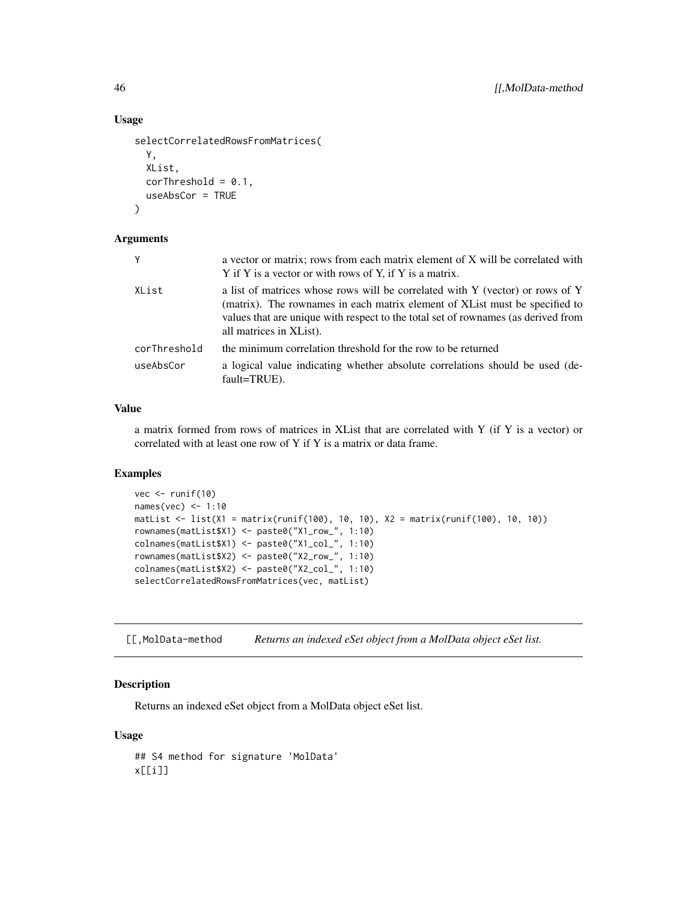#### Usage

```
selectCorrelatedRowsFromMatrices(
 Y,
 XList,
 corThreshold = 0.1,useAbsCor = TRUE
)
```
# Arguments

| a vector or matrix; rows from each matrix element of X will be correlated with<br>Y if Y is a vector or with rows of Y, if Y is a matrix.                                                                                                                                     |
|-------------------------------------------------------------------------------------------------------------------------------------------------------------------------------------------------------------------------------------------------------------------------------|
| a list of matrices whose rows will be correlated with Y (vector) or rows of Y<br>(matrix). The rownames in each matrix element of XL ist must be specified to<br>values that are unique with respect to the total set of rownames (as derived from<br>all matrices in XList). |
| the minimum correlation threshold for the row to be returned                                                                                                                                                                                                                  |
| a logical value indicating whether absolute correlations should be used (de-<br>fault=TRUE).                                                                                                                                                                                  |
|                                                                                                                                                                                                                                                                               |

#### Value

a matrix formed from rows of matrices in XList that are correlated with Y (if Y is a vector) or correlated with at least one row of Y if Y is a matrix or data frame.

#### Examples

```
vec <- runif(10)
names(vec) <- 1:10
matList <- list(X1 = matrix(runif(100), 10, 10), X2 = matrix(runif(100), 10, 10))
rownames(matList$X1) <- paste0("X1_row_", 1:10)
colnames(matList$X1) <- paste0("X1_col_", 1:10)
rownames(matList$X2) <- paste0("X2_row_", 1:10)
colnames(matList$X2) <- paste0("X2_col_", 1:10)
selectCorrelatedRowsFromMatrices(vec, matList)
```
[[,MolData-method *Returns an indexed eSet object from a MolData object eSet list.*

#### Description

Returns an indexed eSet object from a MolData object eSet list.

#### Usage

## S4 method for signature 'MolData' x[[i]]

<span id="page-45-0"></span>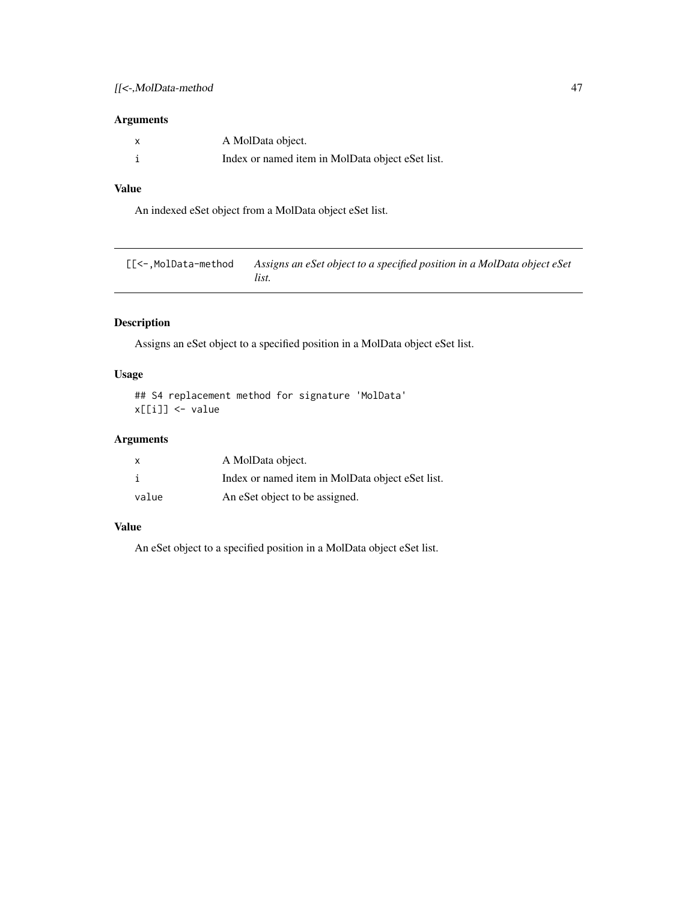# <span id="page-46-0"></span>Arguments

| A MolData object.                                |
|--------------------------------------------------|
| Index or named item in MolData object eSet list. |

# Value

An indexed eSet object from a MolData object eSet list.

[[<-,MolData-method *Assigns an eSet object to a specified position in a MolData object eSet list.*

# Description

Assigns an eSet object to a specified position in a MolData object eSet list.

# Usage

```
## S4 replacement method for signature 'MolData'
x[[i]] <- value
```
# Arguments

| $\mathsf{x}$ | A MolData object.                                |
|--------------|--------------------------------------------------|
|              | Index or named item in MolData object eSet list. |
| value        | An eSet object to be assigned.                   |

# Value

An eSet object to a specified position in a MolData object eSet list.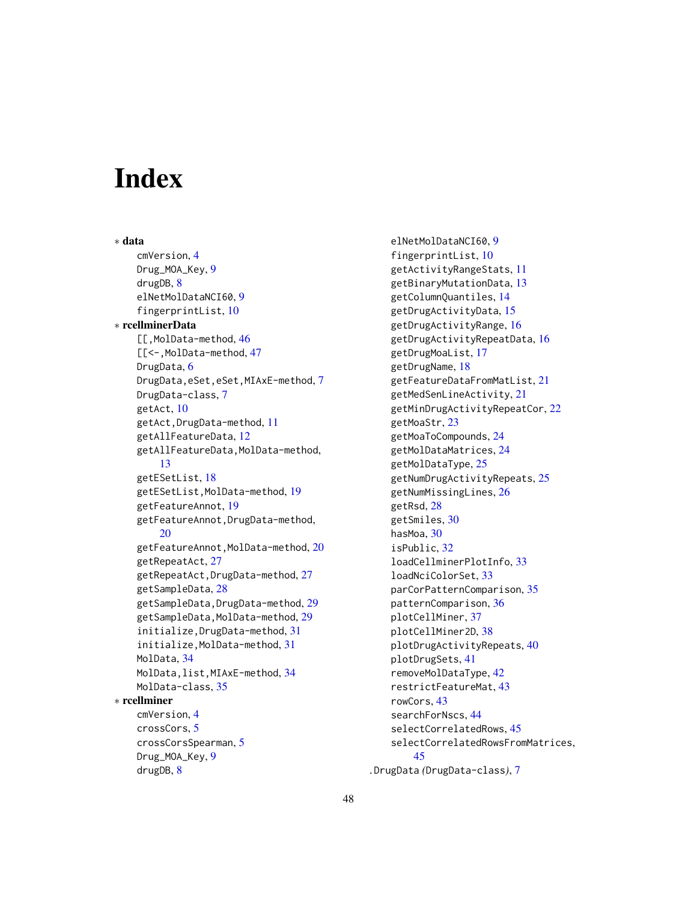# <span id="page-47-0"></span>**Index**

∗ data cmVersion, [4](#page-3-0) Drug\_MOA\_Key, [9](#page-8-0) drugDB, [8](#page-7-0) elNetMolDataNCI60, [9](#page-8-0) fingerprintList, [10](#page-9-0) ∗ rcellminerData [[,MolData-method, [46](#page-45-0) [[<-,MolData-method, [47](#page-46-0) DrugData, [6](#page-5-0) DrugData,eSet,eSet,MIAxE-method, [7](#page-6-0) DrugData-class, [7](#page-6-0) getAct, [10](#page-9-0) getAct,DrugData-method, [11](#page-10-0) getAllFeatureData, [12](#page-11-0) getAllFeatureData,MolData-method, [13](#page-12-0) getESetList, [18](#page-17-0) getESetList,MolData-method, [19](#page-18-0) getFeatureAnnot, [19](#page-18-0) getFeatureAnnot,DrugData-method, [20](#page-19-0) getFeatureAnnot,MolData-method, [20](#page-19-0) getRepeatAct, [27](#page-26-0) getRepeatAct,DrugData-method, [27](#page-26-0) getSampleData, [28](#page-27-0) getSampleData,DrugData-method, [29](#page-28-0) getSampleData,MolData-method, [29](#page-28-0) initialize,DrugData-method, [31](#page-30-0) initialize,MolData-method, [31](#page-30-0) MolData, [34](#page-33-0) MolData,list,MIAxE-method, [34](#page-33-0) MolData-class, [35](#page-34-0) ∗ rcellminer cmVersion, [4](#page-3-0) crossCors, [5](#page-4-0) crossCorsSpearman, [5](#page-4-0) Drug\_MOA\_Key, [9](#page-8-0) drugDB, [8](#page-7-0)

elNetMolDataNCI60, [9](#page-8-0) fingerprintList, [10](#page-9-0) getActivityRangeStats, [11](#page-10-0) getBinaryMutationData, [13](#page-12-0) getColumnQuantiles, [14](#page-13-0) getDrugActivityData, [15](#page-14-0) getDrugActivityRange, [16](#page-15-0) getDrugActivityRepeatData, [16](#page-15-0) getDrugMoaList, [17](#page-16-0) getDrugName, [18](#page-17-0) getFeatureDataFromMatList, [21](#page-20-0) getMedSenLineActivity, [21](#page-20-0) getMinDrugActivityRepeatCor, [22](#page-21-0) getMoaStr, [23](#page-22-0) getMoaToCompounds, [24](#page-23-0) getMolDataMatrices, [24](#page-23-0) getMolDataType, [25](#page-24-0) getNumDrugActivityRepeats, [25](#page-24-0) getNumMissingLines, [26](#page-25-0) getRsd, [28](#page-27-0) getSmiles, [30](#page-29-0) hasMoa, [30](#page-29-0) isPublic, [32](#page-31-0) loadCellminerPlotInfo, [33](#page-32-0) loadNciColorSet, [33](#page-32-0) parCorPatternComparison, [35](#page-34-0) patternComparison, [36](#page-35-0) plotCellMiner, [37](#page-36-0) plotCellMiner2D, [38](#page-37-0) plotDrugActivityRepeats, [40](#page-39-0) plotDrugSets, [41](#page-40-0) removeMolDataType, [42](#page-41-0) restrictFeatureMat, [43](#page-42-0) rowCors, [43](#page-42-0) searchForNscs, [44](#page-43-0) selectCorrelatedRows, [45](#page-44-0) selectCorrelatedRowsFromMatrices, [45](#page-44-0) .DrugData *(*DrugData-class*)*, [7](#page-6-0)